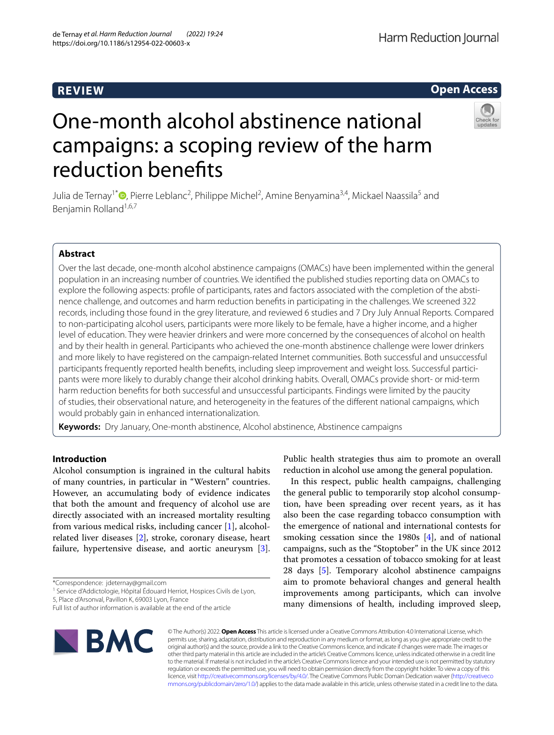# **REVIEW**

## **Open Access**



# One-month alcohol abstinence national campaigns: a scoping review of the harm reduction benefts

Julia de Ternay<sup>1[\\*](http://orcid.org/0000-0003-4239-2113)</sup> <sup>(D</sup>, Pierre Leblanc<sup>2</sup>, Philippe Michel<sup>2</sup>, Amine Benyamina<sup>3,4</sup>, Mickael Naassila<sup>5</sup> and Benjamin Rolland<sup>1,6,7</sup>

## **Abstract**

Over the last decade, one-month alcohol abstinence campaigns (OMACs) have been implemented within the general population in an increasing number of countries. We identifed the published studies reporting data on OMACs to explore the following aspects: profle of participants, rates and factors associated with the completion of the abstinence challenge, and outcomes and harm reduction benefts in participating in the challenges. We screened 322 records, including those found in the grey literature, and reviewed 6 studies and 7 Dry July Annual Reports. Compared to non-participating alcohol users, participants were more likely to be female, have a higher income, and a higher level of education. They were heavier drinkers and were more concerned by the consequences of alcohol on health and by their health in general. Participants who achieved the one-month abstinence challenge were lower drinkers and more likely to have registered on the campaign-related Internet communities. Both successful and unsuccessful participants frequently reported health benefts, including sleep improvement and weight loss. Successful participants were more likely to durably change their alcohol drinking habits. Overall, OMACs provide short- or mid-term harm reduction benefts for both successful and unsuccessful participants. Findings were limited by the paucity of studies, their observational nature, and heterogeneity in the features of the diferent national campaigns, which would probably gain in enhanced internationalization.

**Keywords:** Dry January, One-month abstinence, Alcohol abstinence, Abstinence campaigns

## **Introduction**

Alcohol consumption is ingrained in the cultural habits of many countries, in particular in "Western" countries. However, an accumulating body of evidence indicates that both the amount and frequency of alcohol use are directly associated with an increased mortality resulting from various medical risks, including cancer [\[1](#page-15-0)], alcoholrelated liver diseases [\[2](#page-15-1)], stroke, coronary disease, heart failure, hypertensive disease, and aortic aneurysm [\[3](#page-15-2)].

\*Correspondence: jdeternay@gmail.com

<sup>1</sup> Service d'Addictologie, Hôpital Édouard Herriot, Hospices Civils de Lyon,

5, Place d'Arsonval, Pavillon K, 69003 Lyon, France

Full list of author information is available at the end of the article



Public health strategies thus aim to promote an overall reduction in alcohol use among the general population.

In this respect, public health campaigns, challenging the general public to temporarily stop alcohol consumption, have been spreading over recent years, as it has also been the case regarding tobacco consumption with the emergence of national and international contests for smoking cessation since the 1980s [[4\]](#page-15-3), and of national campaigns, such as the "Stoptober" in the UK since 2012 that promotes a cessation of tobacco smoking for at least 28 days [[5\]](#page-15-4). Temporary alcohol abstinence campaigns aim to promote behavioral changes and general health improvements among participants, which can involve many dimensions of health, including improved sleep,

© The Author(s) 2022. **Open Access** This article is licensed under a Creative Commons Attribution 4.0 International License, which permits use, sharing, adaptation, distribution and reproduction in any medium or format, as long as you give appropriate credit to the original author(s) and the source, provide a link to the Creative Commons licence, and indicate if changes were made. The images or other third party material in this article are included in the article's Creative Commons licence, unless indicated otherwise in a credit line to the material. If material is not included in the article's Creative Commons licence and your intended use is not permitted by statutory regulation or exceeds the permitted use, you will need to obtain permission directly from the copyright holder. To view a copy of this licence, visit [http://creativecommons.org/licenses/by/4.0/.](http://creativecommons.org/licenses/by/4.0/) The Creative Commons Public Domain Dedication waiver ([http://creativeco](http://creativecommons.org/publicdomain/zero/1.0/) [mmons.org/publicdomain/zero/1.0/](http://creativecommons.org/publicdomain/zero/1.0/)) applies to the data made available in this article, unless otherwise stated in a credit line to the data.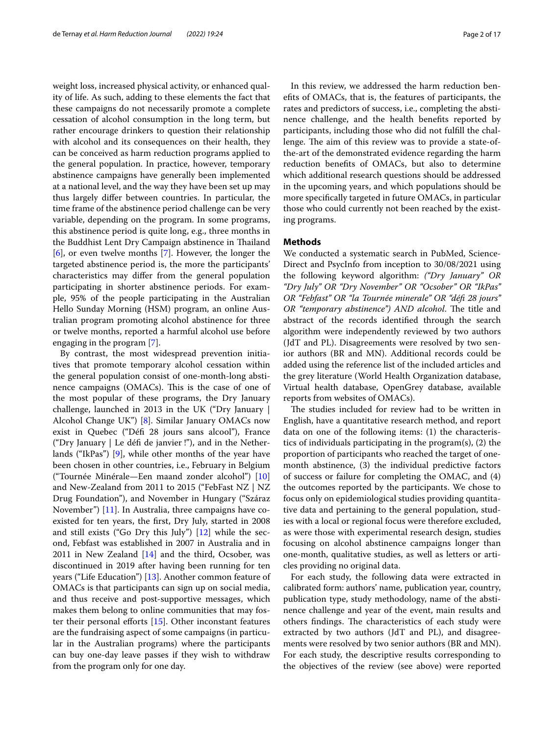weight loss, increased physical activity, or enhanced quality of life. As such, adding to these elements the fact that these campaigns do not necessarily promote a complete cessation of alcohol consumption in the long term, but rather encourage drinkers to question their relationship with alcohol and its consequences on their health, they can be conceived as harm reduction programs applied to the general population. In practice, however, temporary abstinence campaigns have generally been implemented at a national level, and the way they have been set up may thus largely difer between countries. In particular, the time frame of the abstinence period challenge can be very variable, depending on the program. In some programs, this abstinence period is quite long, e.g., three months in the Buddhist Lent Dry Campaign abstinence in Thailand [[6\]](#page-15-5), or even twelve months [[7\]](#page-15-6). However, the longer the targeted abstinence period is, the more the participants' characteristics may difer from the general population participating in shorter abstinence periods. For example, 95% of the people participating in the Australian Hello Sunday Morning (HSM) program, an online Australian program promoting alcohol abstinence for three or twelve months, reported a harmful alcohol use before engaging in the program [\[7](#page-15-6)].

By contrast, the most widespread prevention initiatives that promote temporary alcohol cessation within the general population consist of one-month-long abstinence campaigns (OMACs). This is the case of one of the most popular of these programs, the Dry January challenge, launched in 2013 in the UK ("Dry January | Alcohol Change UK") [\[8](#page-15-7)]. Similar January OMACs now exist in Quebec ("Déf 28 jours sans alcool"), France ("Dry January | Le déf de janvier !"), and in the Netherlands ("IkPas") [\[9](#page-15-8)], while other months of the year have been chosen in other countries, i.e., February in Belgium ("Tournée Minérale—Een maand zonder alcohol") [[10](#page-15-9)] and New-Zealand from 2011 to 2015 ("FebFast NZ | NZ Drug Foundation"), and November in Hungary ("Száraz November") [\[11](#page-15-10)]. In Australia, three campaigns have coexisted for ten years, the frst, Dry July, started in 2008 and still exists ("Go Dry this July") [[12\]](#page-15-11) while the second, Febfast was established in 2007 in Australia and in 2011 in New Zealand [[14](#page-15-12)] and the third, Ocsober, was discontinued in 2019 after having been running for ten years ("Life Education") [\[13](#page-15-13)]. Another common feature of OMACs is that participants can sign up on social media, and thus receive and post-supportive messages, which makes them belong to online communities that may foster their personal efforts  $[15]$  $[15]$ . Other inconstant features are the fundraising aspect of some campaigns (in particular in the Australian programs) where the participants can buy one-day leave passes if they wish to withdraw from the program only for one day.

In this review, we addressed the harm reduction benefts of OMACs, that is, the features of participants, the rates and predictors of success, i.e., completing the abstinence challenge, and the health benefts reported by participants, including those who did not fulfll the challenge. The aim of this review was to provide a state-ofthe-art of the demonstrated evidence regarding the harm reduction benefts of OMACs, but also to determine which additional research questions should be addressed in the upcoming years, and which populations should be more specifcally targeted in future OMACs, in particular those who could currently not been reached by the existing programs.

## **Methods**

We conducted a systematic search in PubMed, Science-Direct and PsycInfo from inception to 30/08/2021 using the following keyword algorithm: *("Dry January" OR "Dry July" OR "Dry November" OR "Ocsober" OR "IkPas" OR "Febfast" OR "la Tournée minerale" OR "déf 28 jours" OR "temporary abstinence") AND alcohol*. The title and abstract of the records identifed through the search algorithm were independently reviewed by two authors (JdT and PL). Disagreements were resolved by two senior authors (BR and MN). Additional records could be added using the reference list of the included articles and the grey literature (World Health Organization database, Virtual health database, OpenGrey database, available reports from websites of OMACs).

The studies included for review had to be written in English, have a quantitative research method, and report data on one of the following items: (1) the characteristics of individuals participating in the program(s), (2) the proportion of participants who reached the target of onemonth abstinence, (3) the individual predictive factors of success or failure for completing the OMAC, and (4) the outcomes reported by the participants. We chose to focus only on epidemiological studies providing quantitative data and pertaining to the general population, studies with a local or regional focus were therefore excluded, as were those with experimental research design, studies focusing on alcohol abstinence campaigns longer than one-month, qualitative studies, as well as letters or articles providing no original data.

For each study, the following data were extracted in calibrated form: authors' name, publication year, country, publication type, study methodology, name of the abstinence challenge and year of the event, main results and others findings. The characteristics of each study were extracted by two authors (JdT and PL), and disagreements were resolved by two senior authors (BR and MN). For each study, the descriptive results corresponding to the objectives of the review (see above) were reported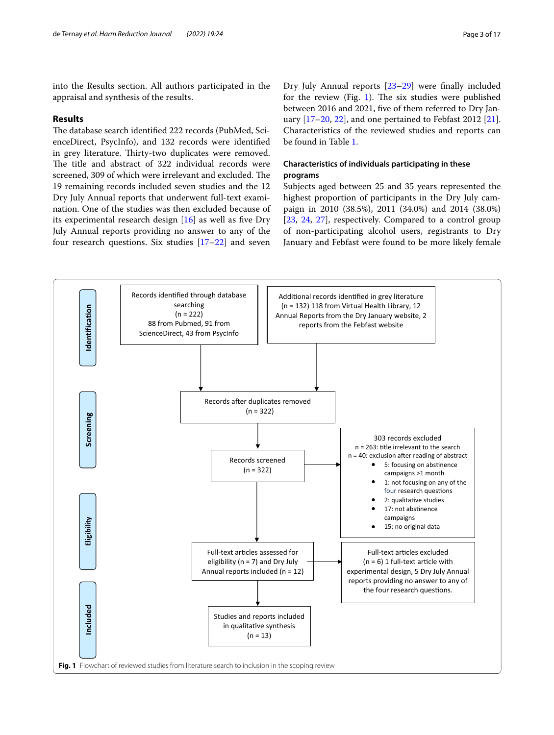into the Results section. All authors participated in the appraisal and synthesis of the results.

#### **Results**

The database search identified 222 records (PubMed, ScienceDirect, PsycInfo), and 132 records were identifed in grey literature. Thirty-two duplicates were removed. The title and abstract of 322 individual records were screened, 309 of which were irrelevant and excluded. The 19 remaining records included seven studies and the 12 Dry July Annual reports that underwent full-text examination. One of the studies was then excluded because of its experimental research design  $[16]$  $[16]$  as well as five Dry July Annual reports providing no answer to any of the four research questions. Six studies [\[17](#page-15-16)–[22\]](#page-15-17) and seven

Dry July Annual reports [[23](#page-15-18)[–29](#page-15-19)] were fnally included for the review (Fig. [1\)](#page-2-0). The six studies were published between 2016 and 2021, fve of them referred to Dry January  $[17–20, 22]$  $[17–20, 22]$  $[17–20, 22]$  $[17–20, 22]$  $[17–20, 22]$ , and one pertained to Febfast 2012  $[21]$  $[21]$ . Characteristics of the reviewed studies and reports can be found in Table [1.](#page-3-0)

## **Characteristics of individuals participating in these programs**

Subjects aged between 25 and 35 years represented the highest proportion of participants in the Dry July campaign in 2010 (38.5%), 2011 (34.0%) and 2014 (38.0%) [[23,](#page-15-18) [24,](#page-15-22) [27\]](#page-15-23), respectively. Compared to a control group of non-participating alcohol users, registrants to Dry January and Febfast were found to be more likely female

<span id="page-2-0"></span>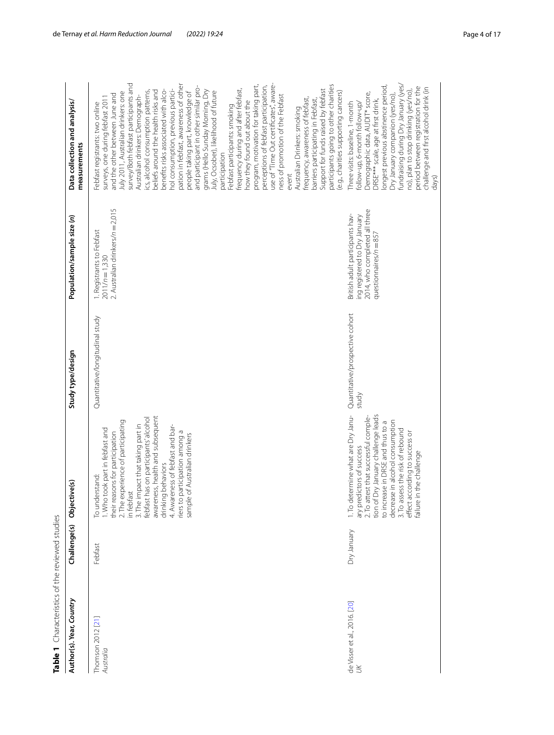<span id="page-3-0"></span>

| Table 1 Characteristics of the reviewed studies |              |                                                                                                                                                                                                                                                                                                                                                                                               |                                          |                                                                                                                                |                                                                                                                                                                                                                                                                                                                                                                                                                                                                                                                                                                                                                                                                                                                                                                                                                                                                                                                                                                                                                                                                                                                       |
|-------------------------------------------------|--------------|-----------------------------------------------------------------------------------------------------------------------------------------------------------------------------------------------------------------------------------------------------------------------------------------------------------------------------------------------------------------------------------------------|------------------------------------------|--------------------------------------------------------------------------------------------------------------------------------|-----------------------------------------------------------------------------------------------------------------------------------------------------------------------------------------------------------------------------------------------------------------------------------------------------------------------------------------------------------------------------------------------------------------------------------------------------------------------------------------------------------------------------------------------------------------------------------------------------------------------------------------------------------------------------------------------------------------------------------------------------------------------------------------------------------------------------------------------------------------------------------------------------------------------------------------------------------------------------------------------------------------------------------------------------------------------------------------------------------------------|
| Author(s). Year, Country                        | Challenge(s) | Objective(s)                                                                                                                                                                                                                                                                                                                                                                                  | Study type/design                        | Population/sample size (n)                                                                                                     | Data collection and analysis/<br>measurements                                                                                                                                                                                                                                                                                                                                                                                                                                                                                                                                                                                                                                                                                                                                                                                                                                                                                                                                                                                                                                                                         |
| Thomson 2012 [21]<br>Australia                  | Febfast      | awareness, health and subsequent<br>febfast has on participants' alcohol<br>2. The experience of participating<br>in febfast<br>3. The impact that taking part in<br>4. Awareness of febfast and bar-<br>1. Who took part in febfast and<br>participation among a<br>their reasons for participation<br>sample of Australian drinkers<br>drinking behaviors<br>erstand:<br>To und<br>riers to | Quantitative/longitudinal study          | 2. Australian drinkers/n = 2,015<br>1. Registrants to Febfast<br>$2011/n = 1,330$                                              | use of "Time Out certificates", aware-<br>survey/Both febfast participants and<br>pation in febfast, awareness of other<br>program, motivation for taking part,<br>participants going to other charities<br>perceptions of febfast participation,<br>and participant in other similar pro-<br>frequency during and after febfast,<br>hol consumption, previous partici-<br>grams (Hello Sunday Morning, Dry<br>Support for funds raised by febfast<br>benefits risks associated with alco-<br>cs, alcohol consumption patterns,<br>July, Ocsober), likelihood of future<br>beliefs around the health risks and<br>people taking part, knowledge of<br>(e.g., charities supporting cancers)<br>July 2011, Australian drinkers: one<br>and the other between June and<br>ness of promotion of the Febfast<br>Australian drinkers: Demograph-<br>frequency, awareness of febfast,<br>barriers participating in Febfast,<br>surveys, one during febfast 201<br>now they found out about the<br>Febfast registrants: two online<br>Febfast participants: smoking<br>Australian Drinkers: smoking<br>participation<br>event |
| de Visser et al., 2016. [20]<br>$\preceq$       | Dry January  | 1. To determine what are Dry Janu-<br>tion of Dry January challenge leads<br>ary predictors of success<br>2. To attest that successful comple-<br>decrease in alcohol consumption<br>to increase in DRSE and thus to a<br>3. To assess the risk of rebound<br>effect according to success or<br>in the challenge<br>failure                                                                   | Quantitative/prospective cohort<br>study | 2014, who completed all three<br>British adult participants hav-<br>ing registered to Dry January<br>questionnaires/ $n = 857$ | fundraising during Dry January (yes/<br>ongest previous abstinence period,<br>period between registration for the<br>challenge and first alcohol drink (in<br>no), plan to stop drinking (yes/no),<br>Demographic data, AUDIT* score,<br>Dry January companion (yes/no),<br>DRSE*** scale, age at first drink,<br>follow-up, 6-month follow-up/<br>Three visits: baseline, 1-month<br>days)                                                                                                                                                                                                                                                                                                                                                                                                                                                                                                                                                                                                                                                                                                                           |
|                                                 |              |                                                                                                                                                                                                                                                                                                                                                                                               |                                          |                                                                                                                                |                                                                                                                                                                                                                                                                                                                                                                                                                                                                                                                                                                                                                                                                                                                                                                                                                                                                                                                                                                                                                                                                                                                       |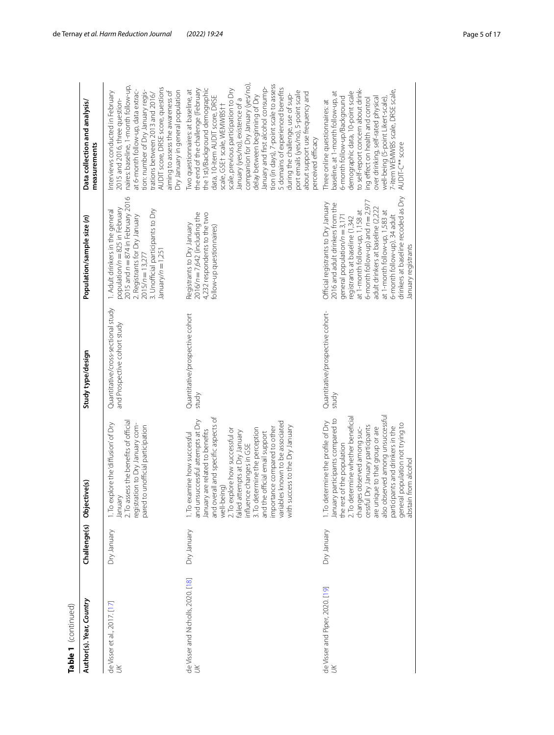| Table 1 (continued)                            |              |                                                                                                                                                                                                                                                                                                                                                                                                                                                |                                                                    |                                                                                                                                                                                                                                                                                                                                                                                           |                                                                                                                                                                                                                                                                                                                                                                                                                                                                                                                                                                                                |
|------------------------------------------------|--------------|------------------------------------------------------------------------------------------------------------------------------------------------------------------------------------------------------------------------------------------------------------------------------------------------------------------------------------------------------------------------------------------------------------------------------------------------|--------------------------------------------------------------------|-------------------------------------------------------------------------------------------------------------------------------------------------------------------------------------------------------------------------------------------------------------------------------------------------------------------------------------------------------------------------------------------|------------------------------------------------------------------------------------------------------------------------------------------------------------------------------------------------------------------------------------------------------------------------------------------------------------------------------------------------------------------------------------------------------------------------------------------------------------------------------------------------------------------------------------------------------------------------------------------------|
| Author(s). Year, Country                       | Challenge(s) | ive(s)<br>Objecti                                                                                                                                                                                                                                                                                                                                                                                                                              | Study type/design                                                  | Population/sample size (n)                                                                                                                                                                                                                                                                                                                                                                | Data collection and analysis/<br>measurements                                                                                                                                                                                                                                                                                                                                                                                                                                                                                                                                                  |
| de Visser et al., 2017. [17]<br>UK             | Dry January  | 2. To assess the benefits of official<br>plore the diffusion of Dry<br>registration to Dry January com-<br>pared to unofficial participation<br>January<br>I. To ex                                                                                                                                                                                                                                                                            | Quantitative/cross-sectional study<br>and Prospective cohort study | 2015 and $n = 874$ in February 2016<br>population/n = 825 in February<br>3. Unofficial participants to Dry<br>I. Adult drinkers in the general<br>2. Registrants for Dry January<br>$\lambda$ = n/mary/ $n = 1,25$<br>$2015/n = 13,277$                                                                                                                                                   | naires: baseline, 1-month follow-up,<br>AUDIT score, DRSE score, questions<br>at 6-month follow-up, data extrac-<br>aiming to assess the awareness of<br>Ory January in general population<br>tion: number of Dry January regis-<br>Interviews conducted in February<br>trations between 2013 and 2016/<br>2015 and 2016, three question-                                                                                                                                                                                                                                                      |
| de Visser and Nicholls, 2020. [18]<br>$\aleph$ | Dry January  | and overall and specific aspects of<br>and unsuccessful attempts at Dry<br>variables known to be associated<br>with success to the Dry January<br>importance compared to other<br>3. To determine the perception<br>2. To explore how successful or<br>January are related to benefits<br>failed attempts at Dry January<br>official email support<br>I. To examine how successful<br>influence changes in GSE<br>ing)<br>well-beir<br>and the | Quantitative/prospective cohort<br>study                           | $2016/n = 7,642$ (including the<br>4,232 respondents to the two<br>Registrants to Dry January<br>follow-up questionnaires)                                                                                                                                                                                                                                                                | companion for Dry January (yes/no),<br>tion (in days), 7-point scale to assess<br>January and first alcohol consump-<br>5 domains of experienced benefits<br>the 1st)/Background demographic<br>scale, previous participation to Dry<br>the end of the challenge (February<br>Two questionnaires: at baseline, at<br>port emails (yes/no), 5-point scale<br>about support use frequency and<br>delay between beginning of Dry<br>during the challenge, use of sup-<br>data, 10-item AUDIT score, DRSE<br>January (yes/no), existence of a<br>scale, GSE† scale, WEMWBS††<br>perceived efficacy |
| de Visser and Piper, 2020. [19]<br>$\aleph$    | Dry January  | also observed among unsuccessful<br>2. To determine whether beneficial<br>participants compared to<br>. To determine the profile of Dry<br>general population not trying to<br>abstain from alcohol<br>cessful Dry January participants<br>participants and drinkers in the<br>are unique to that group or are<br>changes observed among suc-<br>the rest of the population<br>January                                                         | Quantitative/prospective cohort-<br>study                          | drinkers at baseline recoded as Dry<br>6-month follow-up) and $n = 2.977$<br>Official registrants to Dry January<br>2016 and adult drinkers from the<br>adult drinkers at baseline (2,222<br>at 1-month follow-up, 1,158 at<br>at 1-month follow-up, 1,583 at<br>6-month follow-up). 34 adult<br>general population/ $n = 3,171$<br>registrants at baseline (1,342<br>January registrants | to self-report concern about drink-<br>'-item WEMWBS scale, DRSE scale,<br>demographic data, 10-point scale<br>baseline, at 1-month follow-up, at<br>6-month follow-up/Background<br>over drinking, self-rated physical<br>ng effect on health and control<br>well-being (5-point Likert-scale),<br>Three online questionnaires: at<br>AUDIT-C** score                                                                                                                                                                                                                                         |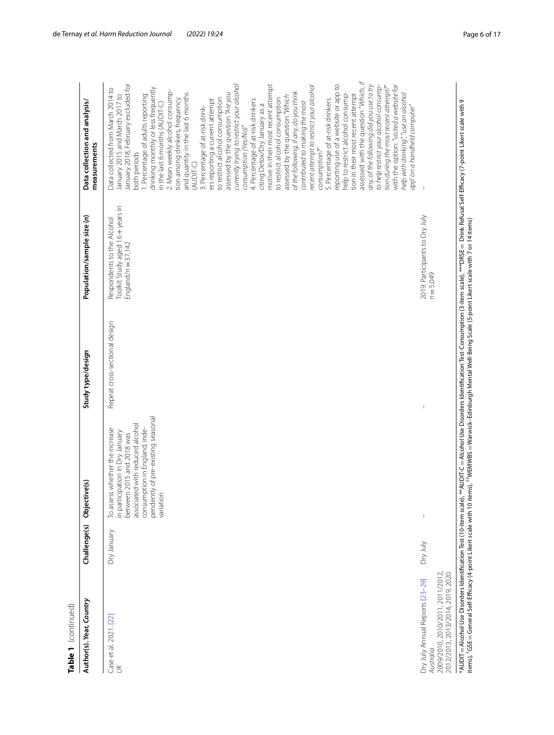| Table 1 (continued)                                                                                                  |              |                                                                                                                                                                                                                       |                                |                                                                                       |                                                                                                                                                                                                                                                                                                                                                                                                                                                                                                                                                                                                                                                                                                                                                                                                                                                                                                                                                                                                                                                                                                                                                                                                                                                                                                                                                                 |
|----------------------------------------------------------------------------------------------------------------------|--------------|-----------------------------------------------------------------------------------------------------------------------------------------------------------------------------------------------------------------------|--------------------------------|---------------------------------------------------------------------------------------|-----------------------------------------------------------------------------------------------------------------------------------------------------------------------------------------------------------------------------------------------------------------------------------------------------------------------------------------------------------------------------------------------------------------------------------------------------------------------------------------------------------------------------------------------------------------------------------------------------------------------------------------------------------------------------------------------------------------------------------------------------------------------------------------------------------------------------------------------------------------------------------------------------------------------------------------------------------------------------------------------------------------------------------------------------------------------------------------------------------------------------------------------------------------------------------------------------------------------------------------------------------------------------------------------------------------------------------------------------------------|
| Author(s). Year, Country                                                                                             | Challenge(s) | Objective(s)                                                                                                                                                                                                          | Study type/design              | Population/sample size (n)                                                            | Data collection and analysis/<br>measurements                                                                                                                                                                                                                                                                                                                                                                                                                                                                                                                                                                                                                                                                                                                                                                                                                                                                                                                                                                                                                                                                                                                                                                                                                                                                                                                   |
| Case et al. 2021. [22]<br>$\aleph$                                                                                   | Dry January  | pendently of pre-existing seasonal<br>associated with reduced alcohol<br>consumption in England, inde-<br>To assess whether the increase<br>in participation in Dry January<br>between 2015 and 2018 was<br>variation | Repeat cross-sectional design  | Toolkit Study aged 16+years in<br>Respondents to the Alcohol<br>England/ $n = 37,142$ | assessed with the question "Which, if<br>January 2018, February excluded for<br>currently trying to restrict your alcohol<br>motive in their most recent attempt<br>tion during the most recent attempt?"<br>with the option: "visited a website for<br>reporting use of a website or app to<br>to help restrict your alcohol consump-<br>recent attempt to restrict your alcohol<br>any, of the following did you use to try<br>Data collected from March 2014 to<br>drinking monthly or less frequently<br>2. Mean weekly alcohol consump-<br>of the following, if any, do you think<br>and quantity in the last 6 months<br>help to restrict alcohol consump-<br>nelp with drinking", "use an alcohol<br>assessed by the question "Are you<br>January 2015 and March 2017 to<br>tion in their most recent attempt<br>. Percentage of adults reporting<br>assessed by the question "Which<br>to restrict alcohol consumption<br>5. Percentage of at-risk drinkers<br>to restrict alcohol consumption<br>tion among drinkers, frequency<br>ers reporting a current attempt<br>4. Percentage of at-risk drinkers<br>contributed to making the most<br>in the last 6 months (AUDIT-C)<br>citing Detox/Dry January as a<br>app' on a handheld computer"<br>3. Percentage of at-risk drink-<br>consumption (Yes/No)"<br>consumption?"<br>both periods<br>(AUDIT-C) |
| 2009/2010, 2010/2011, 2011/2012,<br>2012/2013, 2013/2014, 2019, 2020<br>Dry July Annual Reports [23-29]<br>Australia | Dry July     | $\mathfrak l$                                                                                                                                                                                                         | $\begin{array}{c} \end{array}$ | 2019: Participants to Dry July<br>$n = 5,049$                                         |                                                                                                                                                                                                                                                                                                                                                                                                                                                                                                                                                                                                                                                                                                                                                                                                                                                                                                                                                                                                                                                                                                                                                                                                                                                                                                                                                                 |

\*AUDIT items), †GSE =Alcohol Use Disorders Identifcation Test (10-item scale), \*\*AUDIT-C =Alcohol Use Disorders Identifcation Test-Consumption (3-item scale), \*\*\*DRSE = Drink Refusal Self-Efcacy (7-point Likert scale with 9  $=$  General Self-Efficacy (4-point Likert scale with 10 items), <sup>††</sup>WEMWBS =Warwick–Edinburgh Mental Well-Being Scale (5-point Likert scale with 7 or 14 items)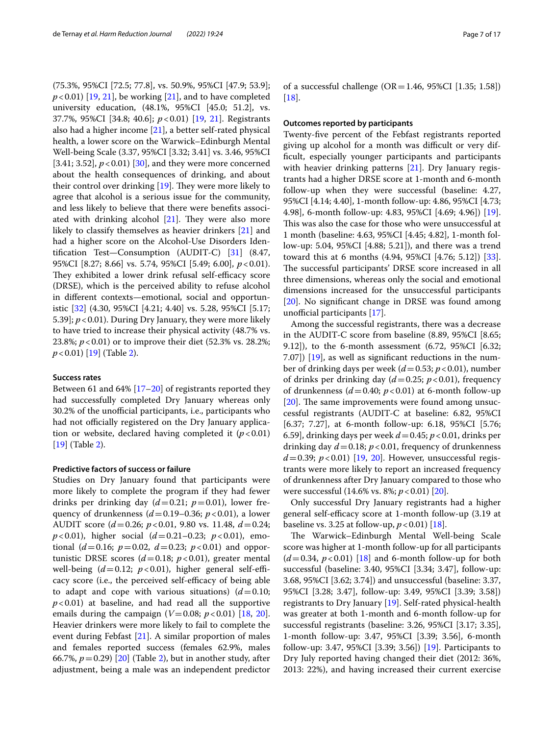(75.3%, 95%CI [72.5; 77.8], vs. 50.9%, 95%CI [47.9; 53.9];  $p < 0.01$ ) [[19](#page-15-25), [21](#page-15-21)], be working [[21\]](#page-15-21), and to have completed university education, (48.1%, 95%CI [45.0; 51.2], vs. 37.7%, 95%CI [34.8; 40.6]; *p*<0.01) [[19,](#page-15-25) [21](#page-15-21)]. Registrants also had a higher income [[21\]](#page-15-21), a better self-rated physical health, a lower score on the Warwick–Edinburgh Mental Well-being Scale (3.37, 95%CI [3.32; 3.41] vs. 3.46, 95%CI [3.41; 3.52],  $p < 0.01$ ] [[30](#page-15-26)], and they were more concerned about the health consequences of drinking, and about their control over drinking  $[19]$  $[19]$ . They were more likely to agree that alcohol is a serious issue for the community, and less likely to believe that there were benefts associated with drinking alcohol  $[21]$ . They were also more likely to classify themselves as heavier drinkers [\[21\]](#page-15-21) and had a higher score on the Alcohol-Use Disorders Identifcation Test—Consumption (AUDIT-C) [[31\]](#page-15-27) (8.47, 95%CI [8.27; 8.66] vs. 5.74, 95%CI [5.49; 6.00], *p*<0.01). They exhibited a lower drink refusal self-efficacy score (DRSE), which is the perceived ability to refuse alcohol in diferent contexts—emotional, social and opportunistic [[32\]](#page-15-28) (4.30, 95%CI [4.21; 4.40] vs. 5.28, 95%CI [5.17; 5.39]; *p*<0.01). During Dry January, they were more likely to have tried to increase their physical activity (48.7% vs. 23.8%; *p*<0.01) or to improve their diet (52.3% vs. 28.2%; *p*<0.01) [\[19](#page-15-25)] (Table [2\)](#page-8-0).

#### **Success rates**

Between 61 and 64% [[17–](#page-15-16)[20](#page-15-20)] of registrants reported they had successfully completed Dry January whereas only 30.2% of the unofficial participants, i.e., participants who had not officially registered on the Dry January application or website, declared having completed it  $(p<0.01)$ [[19\]](#page-15-25) (Table [2](#page-8-0)).

#### **Predictive factors of success or failure**

Studies on Dry January found that participants were more likely to complete the program if they had fewer drinks per drinking day  $(d=0.21; p=0.01)$ , lower frequency of drunkenness  $(d=0.19-0.36; p<0.01)$ , a lower AUDIT score (*d*=0.26; *p*<0.01, 9.80 vs. 11.48, *d*=0.24; *p*<0.01), higher social (*d*=0.21–0.23; *p*<0.01), emotional  $(d=0.16; p=0.02, d=0.23; p<0.01)$  and opportunistic DRSE scores  $(d=0.18; p<0.01)$ , greater mental well-being  $(d=0.12; p<0.01)$ , higher general self-efficacy score (i.e., the perceived self-efficacy of being able to adapt and cope with various situations)  $(d=0.10;$  $p < 0.01$ ) at baseline, and had read all the supportive emails during the campaign  $(V=0.08; p<0.01)$  [[18,](#page-15-24) [20](#page-15-20)]. Heavier drinkers were more likely to fail to complete the event during Febfast [[21\]](#page-15-21). A similar proportion of males and females reported success (females 62.9%, males 66.7%, *p*=0.29) [[20\]](#page-15-20) (Table [2\)](#page-8-0), but in another study, after adjustment, being a male was an independent predictor of a successful challenge ( $OR = 1.46$ , 95%CI [1.35; 1.58])  $[18]$  $[18]$ .

#### **Outcomes reported by participants**

Twenty-fve percent of the Febfast registrants reported giving up alcohol for a month was difficult or very diffcult, especially younger participants and participants with heavier drinking patterns [[21\]](#page-15-21). Dry January registrants had a higher DRSE score at 1-month and 6-month follow-up when they were successful (baseline: 4.27, 95%CI [4.14; 4.40], 1-month follow-up: 4.86, 95%CI [4.73; 4.98], 6-month follow-up: 4.83, 95%CI [4.69; 4.96]) [\[19](#page-15-25)]. This was also the case for those who were unsuccessful at 1 month (baseline: 4.63, 95%CI [4.45; 4.82], 1-month follow-up: 5.04, 95%CI [4.88; 5.21]), and there was a trend toward this at 6 months (4.94, 95%CI [4.76; 5.12]) [\[33](#page-15-29)]. The successful participants' DRSE score increased in all three dimensions, whereas only the social and emotional dimensions increased for the unsuccessful participants [[20\]](#page-15-20). No significant change in DRSE was found among unofficial participants  $[17]$  $[17]$ .

Among the successful registrants, there was a decrease in the AUDIT-C score from baseline (8.89, 95%CI [8.65; 9.12]), to the 6-month assessment (6.72, 95%CI [6.32; 7.07]) [[19](#page-15-25)], as well as signifcant reductions in the number of drinking days per week (*d*=0.53; *p*<0.01), number of drinks per drinking day (*d*=0.25; *p*<0.01), frequency of drunkenness  $(d=0.40; p<0.01)$  at 6-month follow-up  $[20]$  $[20]$ . The same improvements were found among unsuccessful registrants (AUDIT-C at baseline: 6.82, 95%CI [6.37; 7.27], at 6-month follow-up: 6.18, 95%CI [5.76; 6.59], drinking days per week *d*=0.45; *p*<0.01, drinks per drinking day  $d = 0.18$ ;  $p < 0.01$ , frequency of drunkenness  $d = 0.39$ ;  $p < 0.01$ ) [\[19,](#page-15-25) [20\]](#page-15-20). However, unsuccessful registrants were more likely to report an increased frequency of drunkenness after Dry January compared to those who were successful (14.6% vs. 8%; *p*<0.01) [\[20](#page-15-20)].

Only successful Dry January registrants had a higher general self-efficacy score at 1-month follow-up (3.19 at baseline vs. 3.25 at follow-up,  $p < 0.01$  [\[18](#page-15-24)].

The Warwick–Edinburgh Mental Well-being Scale score was higher at 1-month follow-up for all participants  $(d=0.34, p<0.01)$  [\[18\]](#page-15-24) and 6-month follow-up for both successful (baseline: 3.40, 95%CI [3.34; 3.47], follow-up: 3.68, 95%CI [3.62; 3.74]) and unsuccessful (baseline: 3.37, 95%CI [3.28; 3.47], follow-up: 3.49, 95%CI [3.39; 3.58]) registrants to Dry January [\[19](#page-15-25)]. Self-rated physical-health was greater at both 1-month and 6-month follow-up for successful registrants (baseline: 3.26, 95%CI [3.17; 3.35], 1-month follow-up: 3.47, 95%CI [3.39; 3.56], 6-month follow-up: 3.47, 95%CI [3.39; 3.56]) [[19\]](#page-15-25). Participants to Dry July reported having changed their diet (2012: 36%, 2013: 22%), and having increased their current exercise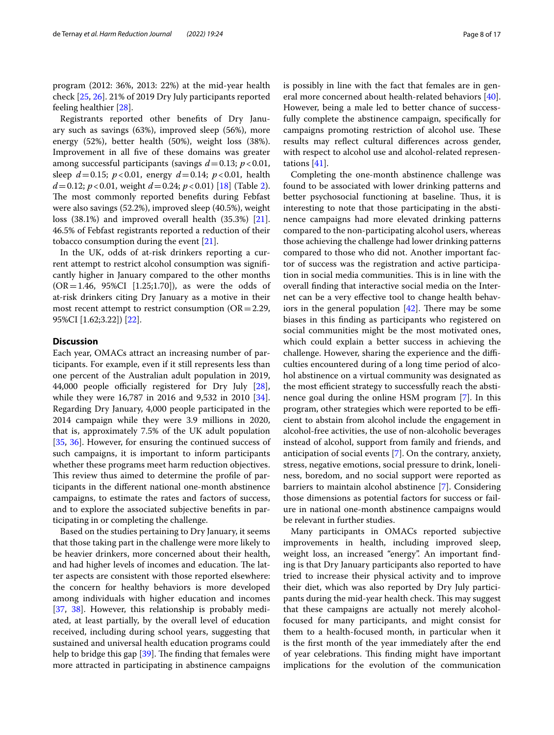program (2012: 36%, 2013: 22%) at the mid-year health check [[25,](#page-15-30) [26\]](#page-15-31). 21% of 2019 Dry July participants reported feeling healthier [\[28\]](#page-15-32).

Registrants reported other benefts of Dry January such as savings (63%), improved sleep (56%), more energy (52%), better health (50%), weight loss (38%). Improvement in all fve of these domains was greater among successful participants (savings *d*=0.13; *p*<0.01, sleep *d*=0.15; *p*<0.01, energy *d*=0.14; *p*<0.01, health  $d = 0.12$  $d = 0.12$ ;  $p < 0.01$ , weight  $d = 0.24$ ;  $p < 0.01$ ) [[18\]](#page-15-24) (Table 2). The most commonly reported benefits during Febfast were also savings (52.2%), improved sleep (40.5%), weight loss (38.1%) and improved overall health (35.3%) [\[21](#page-15-21)]. 46.5% of Febfast registrants reported a reduction of their tobacco consumption during the event [[21\]](#page-15-21).

In the UK, odds of at-risk drinkers reporting a current attempt to restrict alcohol consumption was signifcantly higher in January compared to the other months  $(OR = 1.46, 95\% CI [1.25; 1.70])$ , as were the odds of at-risk drinkers citing Dry January as a motive in their most recent attempt to restrict consumption ( $OR = 2.29$ , 95%CI [1.62;3.22]) [\[22](#page-15-17)].

## **Discussion**

Each year, OMACs attract an increasing number of participants. For example, even if it still represents less than one percent of the Australian adult population in 2019, 44,000 people officially registered for Dry July  $[28]$  $[28]$ , while they were 16,787 in 2016 and 9,532 in 2010 [\[34](#page-15-33)]. Regarding Dry January, 4,000 people participated in the 2014 campaign while they were 3.9 millions in 2020, that is, approximately 7.5% of the UK adult population [[35,](#page-15-34) [36\]](#page-15-35). However, for ensuring the continued success of such campaigns, it is important to inform participants whether these programs meet harm reduction objectives. This review thus aimed to determine the profile of participants in the diferent national one-month abstinence campaigns, to estimate the rates and factors of success, and to explore the associated subjective benefts in participating in or completing the challenge.

Based on the studies pertaining to Dry January, it seems that those taking part in the challenge were more likely to be heavier drinkers, more concerned about their health, and had higher levels of incomes and education. The latter aspects are consistent with those reported elsewhere: the concern for healthy behaviors is more developed among individuals with higher education and incomes [[37,](#page-15-36) [38\]](#page-15-37). However, this relationship is probably mediated, at least partially, by the overall level of education received, including during school years, suggesting that sustained and universal health education programs could help to bridge this gap  $[39]$  $[39]$ . The finding that females were more attracted in participating in abstinence campaigns is possibly in line with the fact that females are in general more concerned about health-related behaviors [\[40](#page-15-39)]. However, being a male led to better chance of successfully complete the abstinence campaign, specifcally for campaigns promoting restriction of alcohol use. These results may refect cultural diferences across gender, with respect to alcohol use and alcohol-related representations [\[41](#page-15-40)].

Completing the one-month abstinence challenge was found to be associated with lower drinking patterns and better psychosocial functioning at baseline. Thus, it is interesting to note that those participating in the abstinence campaigns had more elevated drinking patterns compared to the non-participating alcohol users, whereas those achieving the challenge had lower drinking patterns compared to those who did not. Another important factor of success was the registration and active participation in social media communities. This is in line with the overall fnding that interactive social media on the Internet can be a very efective tool to change health behaviors in the general population  $[42]$  $[42]$ . There may be some biases in this fnding as participants who registered on social communities might be the most motivated ones, which could explain a better success in achieving the challenge. However, sharing the experience and the difficulties encountered during of a long time period of alcohol abstinence on a virtual community was designated as the most efficient strategy to successfully reach the abstinence goal during the online HSM program [\[7](#page-15-6)]. In this program, other strategies which were reported to be efficient to abstain from alcohol include the engagement in alcohol-free activities, the use of non-alcoholic beverages instead of alcohol, support from family and friends, and anticipation of social events [\[7](#page-15-6)]. On the contrary, anxiety, stress, negative emotions, social pressure to drink, loneliness, boredom, and no social support were reported as barriers to maintain alcohol abstinence [[7\]](#page-15-6). Considering those dimensions as potential factors for success or failure in national one-month abstinence campaigns would be relevant in further studies.

Many participants in OMACs reported subjective improvements in health, including improved sleep, weight loss, an increased "energy". An important fnding is that Dry January participants also reported to have tried to increase their physical activity and to improve their diet, which was also reported by Dry July participants during the mid-year health check. This may suggest that these campaigns are actually not merely alcoholfocused for many participants, and might consist for them to a health-focused month, in particular when it is the frst month of the year immediately after the end of year celebrations. This finding might have important implications for the evolution of the communication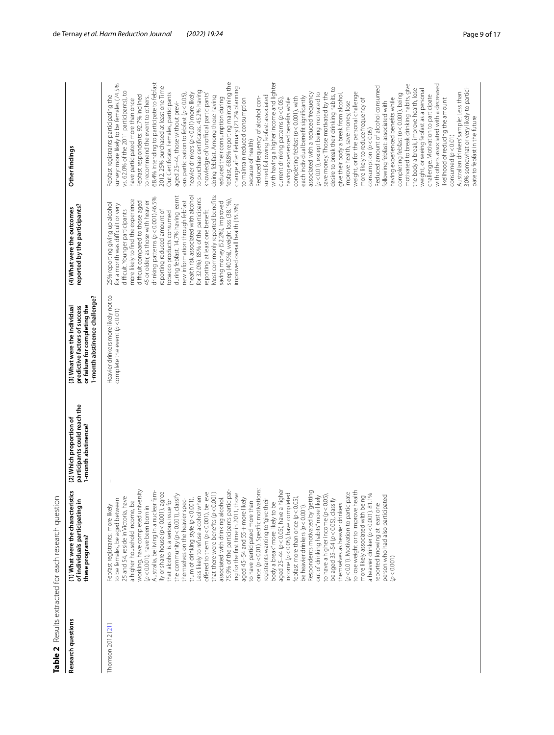|                    | Table 2 Results extracted for each research question                                                                                                                                                                                                                                                                                                                                                                                                                                                                                                                                                                                                                                                                                                                                                                                                                                                                                                                                                                                                                                                                                                                                                                                                                                                                                                                                                                                                                         |                                                                                |                                                                                                                                 |                                                                                                                                                                                                                                                                                                                                                                                                                                                                                                                                                                                                                                                                        |                                                                                                                                                                                                                                                                                                                                                                                                                                                                                                                                                                                                                                                                                                                                                                                                                                                                                                                                                                                                                                                                                                                                                                                                                                                                                                                                                                                                                                                                                                                                                                                                                                                                                                                                                                                                                                                                                                                                                                                                                              |
|--------------------|------------------------------------------------------------------------------------------------------------------------------------------------------------------------------------------------------------------------------------------------------------------------------------------------------------------------------------------------------------------------------------------------------------------------------------------------------------------------------------------------------------------------------------------------------------------------------------------------------------------------------------------------------------------------------------------------------------------------------------------------------------------------------------------------------------------------------------------------------------------------------------------------------------------------------------------------------------------------------------------------------------------------------------------------------------------------------------------------------------------------------------------------------------------------------------------------------------------------------------------------------------------------------------------------------------------------------------------------------------------------------------------------------------------------------------------------------------------------------|--------------------------------------------------------------------------------|---------------------------------------------------------------------------------------------------------------------------------|------------------------------------------------------------------------------------------------------------------------------------------------------------------------------------------------------------------------------------------------------------------------------------------------------------------------------------------------------------------------------------------------------------------------------------------------------------------------------------------------------------------------------------------------------------------------------------------------------------------------------------------------------------------------|------------------------------------------------------------------------------------------------------------------------------------------------------------------------------------------------------------------------------------------------------------------------------------------------------------------------------------------------------------------------------------------------------------------------------------------------------------------------------------------------------------------------------------------------------------------------------------------------------------------------------------------------------------------------------------------------------------------------------------------------------------------------------------------------------------------------------------------------------------------------------------------------------------------------------------------------------------------------------------------------------------------------------------------------------------------------------------------------------------------------------------------------------------------------------------------------------------------------------------------------------------------------------------------------------------------------------------------------------------------------------------------------------------------------------------------------------------------------------------------------------------------------------------------------------------------------------------------------------------------------------------------------------------------------------------------------------------------------------------------------------------------------------------------------------------------------------------------------------------------------------------------------------------------------------------------------------------------------------------------------------------------------------|
| Research questions | უ<br>(1) What were the characteristi<br>of individuals participating in<br>these programs?                                                                                                                                                                                                                                                                                                                                                                                                                                                                                                                                                                                                                                                                                                                                                                                                                                                                                                                                                                                                                                                                                                                                                                                                                                                                                                                                                                                   | participants could reach the<br>(2) Which proportion of<br>1-month abstinence? | 1-month abstinence challenge?<br>or failure for completing the<br>predictive factors of success<br>(3) What were the individual | (4) What were the outcomes<br>reported by the participants?                                                                                                                                                                                                                                                                                                                                                                                                                                                                                                                                                                                                            | Other findings                                                                                                                                                                                                                                                                                                                                                                                                                                                                                                                                                                                                                                                                                                                                                                                                                                                                                                                                                                                                                                                                                                                                                                                                                                                                                                                                                                                                                                                                                                                                                                                                                                                                                                                                                                                                                                                                                                                                                                                                               |
| Thomson 2012 [21]  | once (p < 0.01). Specific motivations:<br>aged 25-44 (p < 0.05), have a higher<br>working, have completed university<br>Australia, be living in a nuclear fam-<br>75.9% of the participants participat-<br>Respondents motivated by "getting<br>to lose weight or to improve health<br>lly or share house (p<0.001), agree<br>Less likely to reiuse and<br>offered to them (p < 0,001), believe<br>--- hannefis (p < 0,001)<br>(p<0.01). Motivation to participate<br>income (p < 0.05), have completed<br>ing for the first time in 2011, those<br>to have a higher income (p < 0.05),<br>the community (p<0.001), classify<br>a heavier drinker (p < 0.001). 81.1%<br>25 and 54, reside in Victoria, have<br>febfast more than once (p < 0.05),<br>out of drinking habits" more likely<br>more likely associated with being<br>reported knowing at least one<br>person who had also participated<br>aged 45-54 and 55 + more likely<br>associated with drinking alcohol.<br>to be females, be aged between<br>that alcohol is a serious issue for<br>themselves on the heavier spec-<br>registrants wanting to "give their<br>trum of drinking style $(p < 0.001)$ .<br>be aged 35-54 (p < 0.05), classify<br>a higher household income, be<br>to have participated more than<br>body a break" more likely to be<br>themselves as heavier drinkers<br>be heavier drinkers (p<0.001).<br>Febfast registrants: more likely<br>$(p<0.001)$ , have been born in<br>(p < 0.001) |                                                                                | Heavier drinkers more likely not to<br>complete the event $(p<0.01)$                                                            | Most commonly reported benefits:<br>during febfast. 14.7% having learnt<br>(health risk associated with alcohol<br>drinking patterns (p < 0.001).46.5%<br>for 32.0%). 85% of the participants<br>more likely to find the experience<br>sleep (40.5%), weight loss (38.1%),<br>difficult compared to those aged<br>45 or older, as those with heavier<br>saving money (52.2%), improved<br>new information through febfast<br>25% reporting giving up alcohol<br>for a month was difficult or very<br>improved overall health (35.3%)<br>reporting at least one benefit.<br>difficult. Younger participants<br>reporting reduced amount of<br>tobacco products consumed | febfast, 68.8% reporting maintaining the<br>68.4% intending to participate to febfast<br>with having a higher income and lighter<br>with others associated with a decreased<br>survey: more likely to be females (74.5%<br>motivated to break drinking habits, give<br>2012. 25% purchased at least one Time<br>Reduced amount of alcohol consumed<br>change after February (21.2% planning<br>desire to break their drinking habits, to<br>30% somewhat or very likely to partici-<br>the body a break, improve health, lose<br>weight, or seeing febfast as a personal<br>to purchase certificates. 45.2% having<br>vs. 62.0% of the 2011 participants), to<br>weight, or for the personal challenge<br>associated with a reduced frequency<br>save money. Those motivated by the<br>Australian drinkers' sample: Less than<br>ous participation to febfast (p<0.05),<br>heavier drinkers (p<0.01) more likely<br>Out Certificate. Females, participants<br>(p<0.01), except being motivated to<br>give their body a break from alcohol,<br>completing febfast (p<0.001), being<br>knowledge of 'unofficial participants'<br>Febfast respondents: 92.7% inclined<br>challenge. Motivation to participate<br>Febfast registrants participating the<br>sumed following febfast: associated<br>doing febfast. Among those having<br>each individual benefit significantly<br>to recommend the event to others.<br>Reduced frequency of alcohol con-<br>completing febfast (p<0.001), with<br>reduced their consumption during<br>to maintain reduced consumption<br>having experienced benefits while<br>current drinking patterns $(p < 0.05)$ ,<br>having experienced benefits while<br>more likely to reduce frequency of<br>likelihood of reducing the amount<br>have participated more than once<br>improve health, save money, lose<br>aged 25-44, those without previ-<br>following febfast: associated with<br>pate to febfast in the future<br>consumption $(p < 0.05)$<br>consumed $(p<0.01)$<br>because of health) |

<span id="page-8-0"></span>Table 2 Results extracted for each research question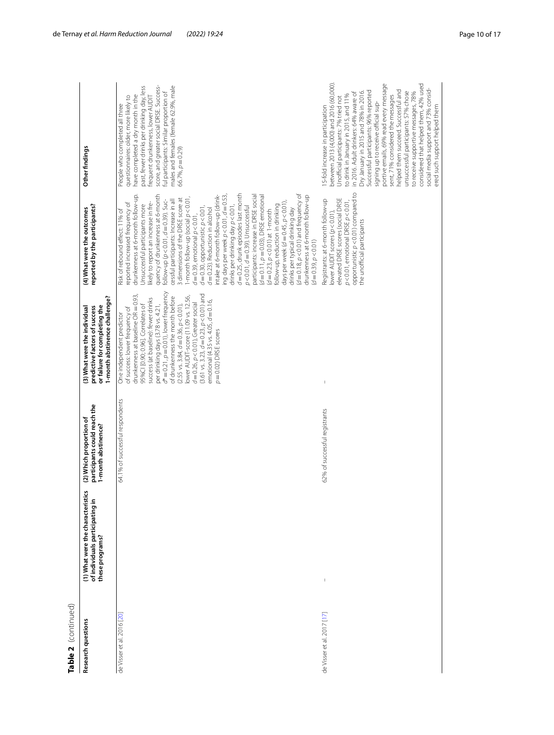| Table 2 (continued)        |                                                                                         |                                                                                |                                                                                                                                                                                                                                                                                                                                                                                                                                                                                                                                                                |                                                                                                                                                                                                                                                                                                                                                                                                                                                                                                                                                                                                                                                                                                                                                                                                                                                                                                                                                                                                                                                                                            |                                                                                                                                                                                                                                                                                                                                                                                                                                                                                                                                                                                                                                                       |
|----------------------------|-----------------------------------------------------------------------------------------|--------------------------------------------------------------------------------|----------------------------------------------------------------------------------------------------------------------------------------------------------------------------------------------------------------------------------------------------------------------------------------------------------------------------------------------------------------------------------------------------------------------------------------------------------------------------------------------------------------------------------------------------------------|--------------------------------------------------------------------------------------------------------------------------------------------------------------------------------------------------------------------------------------------------------------------------------------------------------------------------------------------------------------------------------------------------------------------------------------------------------------------------------------------------------------------------------------------------------------------------------------------------------------------------------------------------------------------------------------------------------------------------------------------------------------------------------------------------------------------------------------------------------------------------------------------------------------------------------------------------------------------------------------------------------------------------------------------------------------------------------------------|-------------------------------------------------------------------------------------------------------------------------------------------------------------------------------------------------------------------------------------------------------------------------------------------------------------------------------------------------------------------------------------------------------------------------------------------------------------------------------------------------------------------------------------------------------------------------------------------------------------------------------------------------------|
| Research questions         | (1) What were the characteristics<br>of individuals participating in<br>these programs? | participants could reach the<br>(2) Which proportion of<br>1-month abstinence? | 1-month abstinence challenge?<br>or failure for completing the<br>predictive factors of success<br>3) What were the individual                                                                                                                                                                                                                                                                                                                                                                                                                                 | reported by the participants?<br>(4) What were the outcomes                                                                                                                                                                                                                                                                                                                                                                                                                                                                                                                                                                                                                                                                                                                                                                                                                                                                                                                                                                                                                                | Other findings                                                                                                                                                                                                                                                                                                                                                                                                                                                                                                                                                                                                                                        |
| de Visser et al. 2016 [20] |                                                                                         | 64.1% of successful respondents                                                | $d^*=0.21$ , $\rho=0.01$ ), lower frequency<br>$(3.61 \text{ vs. } 3.23, d = 0.23, p < 0.01)$ and<br>drunkenness at baseline OR = 0.93,<br>lower AUDIT-score (11.09 vs. 12.56,<br>of drunkenness the month before<br>success (at baseline): fewer drinks<br>emotional (4.35 vs. 4.05, $d = 0.16$ ,<br>$d = 0.26$ , $p < 0.01$ ), Greater social<br>per drinking days (3.78 vs. 4.21,<br>$2.55$ vs. 3.84, $d = 0.36$ , $p < 0.01$ ),<br>95%Cl [0.90; 0.96]. Correlates of<br>of success: lower frequency of<br>One independent predictor<br>p=0.02) DRSE scores | $d = 0.25$ , drunk episodes last month<br>$(d = 0.18, p < 0.01)$ and frequency of<br>ing days per week $p < 0.01$ , $d = 0.53$ ,<br>drunkenness at 6-month follow-up.<br>quency of drunkenness at 6-month<br>intake at 6-month follow-up (drink-<br>participants: increase in DRSE social<br>$(d=0.11, p=0.03)$ , DRSE emotional<br>drunkenness at 6-month follow-up<br>3 dimensions of the DRSE score at<br>-month follow-up (social $p < 0.01$ ,<br>cessful participants: Increase in all<br>$\frac{1}{2}$ ollow-up (p < 0.01, $d = 0.39$ ). Suc-<br>days per week ( $d = 0.45$ , $p < 0.01$ ),<br>ikely to report an increase in fre-<br>reported increased frequency of<br>Unsuccessful participants more<br>drinks per drinking day p<0.01,<br>ollow-up, reduction in drinking<br>$p < 0.01$ , $d = 0.39$ ). Unsuccessful<br>$d = 0.30$ , opportunistic $p < 0.01$ ,<br>$d = 0.23$ ). Reduction in alcohol<br>drinks per typical drinking day<br>Risk of rebound effect: 11% of<br>$(d = 0.23, p < 0.01)$ at 1-month<br>$d = 0.39$ , emotional $p < 0.01$ ,<br>$(d = 0.39, p < 0.01)$ | males and females (female 62.9%, male<br>score, and greater social DRSE. Success-<br>past, fewer drinks per drinking day, less<br>ul participants: Similar proportion of<br>have completed a dry month in the<br>frequent drunkenness, lower AUDIT<br>questionnaires: older, more likely to<br>People who completed all three<br>$56.7\%$ , $p = 0.29$ )                                                                                                                                                                                                                                                                                              |
| de Visser et al. 2017 [17] | I                                                                                       | 62% of successful registrants                                                  |                                                                                                                                                                                                                                                                                                                                                                                                                                                                                                                                                                | opportunistic $p < 0.01$ ) compared to<br>elevated DRSE scores (social DRSE<br>Registrants: at 6-month follow-up<br>$p < 0.01$ , emotional DRSE $p < 0.01$ ,<br>lower AUDIT scores (p<0.01),<br>the unofficial participants                                                                                                                                                                                                                                                                                                                                                                                                                                                                                                                                                                                                                                                                                                                                                                                                                                                                | between 2013 (4,000) and 2016 (60,000).<br>portive emails, 69% read every message<br>considered that helped them, 42% used<br>social media support and 73% consid-<br>helped them succeed. Successful and<br>Successful participants: 96% reported<br>Dry January in 2015 and 78% in 2016.<br>unsuccessful participants: 57% chose<br>in 2016. Adult drinkers: 64% aware of<br>to receive supportive messages, 78%<br>to drink in January in 2015, and 11%<br>sent, 71% considered the messages<br>Jnofficial participants: 7% tried not<br>signing up to receive official sup-<br>15-fold increase in participation<br>ered such support helped them |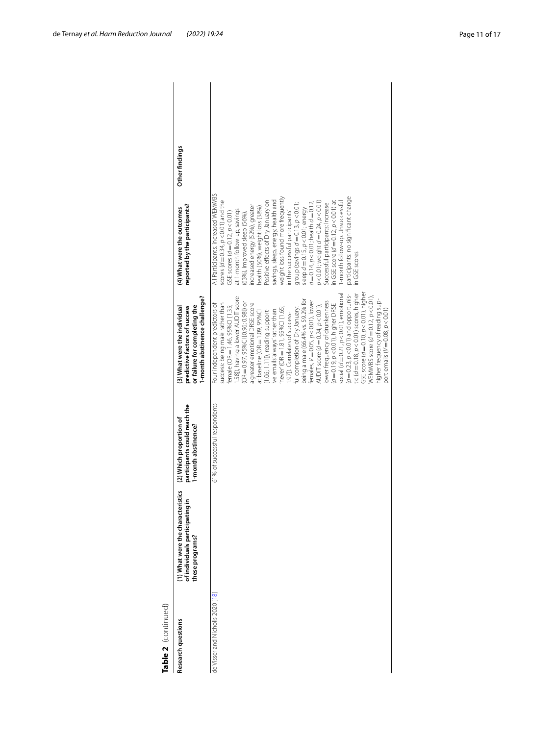| Table 2 (continued)              |                                                                                         |                                                                                |                                                                                                                                                                                                                                                                                                                                                                                                                                                                                                                                                                                                                                                                                                                                                                                                                                                                                                                                                   |                                                                                                                                                                                                                                                                                                                                                                                                                                                                                                                                                                                                                                                                                                                                                                           |                |  |
|----------------------------------|-----------------------------------------------------------------------------------------|--------------------------------------------------------------------------------|---------------------------------------------------------------------------------------------------------------------------------------------------------------------------------------------------------------------------------------------------------------------------------------------------------------------------------------------------------------------------------------------------------------------------------------------------------------------------------------------------------------------------------------------------------------------------------------------------------------------------------------------------------------------------------------------------------------------------------------------------------------------------------------------------------------------------------------------------------------------------------------------------------------------------------------------------|---------------------------------------------------------------------------------------------------------------------------------------------------------------------------------------------------------------------------------------------------------------------------------------------------------------------------------------------------------------------------------------------------------------------------------------------------------------------------------------------------------------------------------------------------------------------------------------------------------------------------------------------------------------------------------------------------------------------------------------------------------------------------|----------------|--|
| Research questions               | (1) What were the characteristics<br>of individuals participating in<br>these programs? | participants could reach the<br>(2) Which proportion of<br>1-month abstinence? | I-month abstinence challenge?<br>or failure for completing the<br>predictive factors of success<br>(3) What were the individual                                                                                                                                                                                                                                                                                                                                                                                                                                                                                                                                                                                                                                                                                                                                                                                                                   | reported by the participants?<br>(4) What were the outcomes                                                                                                                                                                                                                                                                                                                                                                                                                                                                                                                                                                                                                                                                                                               | Other findings |  |
| de Visser and Nicholls 2020 [18] |                                                                                         | 61% of successful respondents                                                  | GSE score ( $d = 0.10$ , $p < 0.01$ ), higher<br>tic $(d=0.18, p<0.01)$ scores, higher<br>social $(d = 0.21, p < 0.01)$ , emotional<br>$(d=0.23, p<0.01)$ and opportunis-<br>WEMWBS score $(d = 0.12, p < 0.01)$ ,<br>.58]), having a lower AUDIT score<br>being a male (66.4% vs. 59.2% for<br>higher frequency of reading sup-<br>lower frequency of drunkenness<br>$(OR = 0.97, 95\% \text{C} [0.96; 0.98])$ or<br>females, $V = 0.05$ , $p < 0.01$ ), lower<br>success: being male rather than<br>Four independent predictors of<br>a greater emotional DRSE score<br>$(d=0.19, p<0.01)$ , higher DRSE<br>AUDIT score $(d = 0.24, p < 0.01)$ ,<br>female (OR = 1.46, 95%Cl [1.35;<br>ul completion of Dry January:<br>never' (OR = 1.81, 95%Cl [1.65;<br>port emails ( $V = 0.08$ , $p < 0.01$ )<br>1.06; 1.11]), reading support-<br>ve emails 'always' rather than<br>at baseline (OR $=$ 1.09, 95% $\Box$<br>.97]). Correlates of success- | All Participants: increased WEMWBS<br>weight loss found more frequently<br>participants: no significant change<br>savings, sleep, energy, health and<br>scores $(d=0.34, p<0.01)$ and the<br>in GSE score $(d=0.12, p<0.01)$ at<br>I-month follow-up. Unsuccessful<br>Positive effects of Dry January on<br>$p < 0.01$ ; weight $d = 0.24$ , $p < 0.01$ )<br>$d = 0.14$ , $p < 0.01$ ; health $d = 0.12$ ,<br>group (savings $d = 0.13$ , $p < 0.01$ ;<br>Successful participants: Increase<br>health (50%), weight loss (38%)<br>increased energy (52%), greater<br>sleep $d = 0.15$ , $p < 0.01$ ; energy<br>at 1-month follow-up, savings<br>in the successful participants'<br>GSE scores ( $d = 0.12$ , $p < 0.01$ )<br>(63%), improved sleep (56%),<br>n GSE scores |                |  |

de Ternay *et al. Harm Reduction Journal (2022) 19:24* Page 11 of 17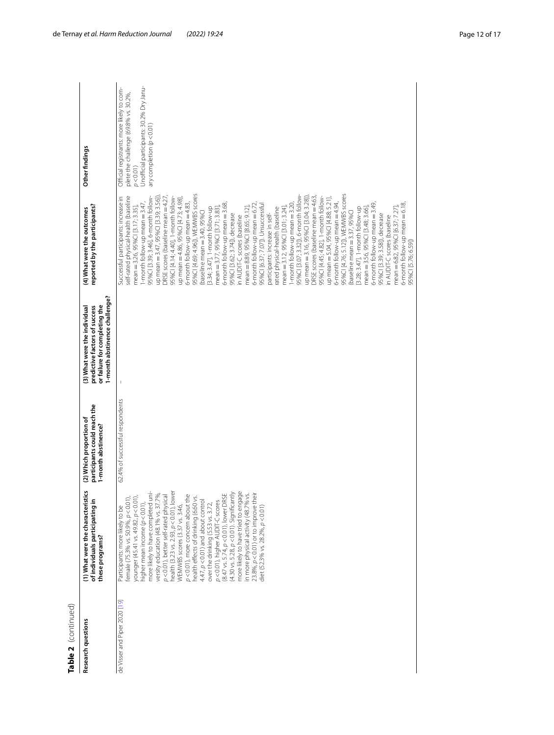| Table 2  (continued)          |                                                                                                                                                                                                                                                                                                                                                                                                                                                                                                                                                                                                                                                                                                                                                                                                                     |                                                                                |                                                                                                                                 |                                                                                                                                                                                                                                                                                                                                                                                                                                                                                                                                                                                                                                                                                                                                                                                                                                                                                                                                                                                                                                                                                                                                                                                                                                                                                                                                                                                                                                                                |                                                                                                                                                                         |
|-------------------------------|---------------------------------------------------------------------------------------------------------------------------------------------------------------------------------------------------------------------------------------------------------------------------------------------------------------------------------------------------------------------------------------------------------------------------------------------------------------------------------------------------------------------------------------------------------------------------------------------------------------------------------------------------------------------------------------------------------------------------------------------------------------------------------------------------------------------|--------------------------------------------------------------------------------|---------------------------------------------------------------------------------------------------------------------------------|----------------------------------------------------------------------------------------------------------------------------------------------------------------------------------------------------------------------------------------------------------------------------------------------------------------------------------------------------------------------------------------------------------------------------------------------------------------------------------------------------------------------------------------------------------------------------------------------------------------------------------------------------------------------------------------------------------------------------------------------------------------------------------------------------------------------------------------------------------------------------------------------------------------------------------------------------------------------------------------------------------------------------------------------------------------------------------------------------------------------------------------------------------------------------------------------------------------------------------------------------------------------------------------------------------------------------------------------------------------------------------------------------------------------------------------------------------------|-------------------------------------------------------------------------------------------------------------------------------------------------------------------------|
| Research questions            | (1) What were the characteristics<br>of individuals participating in<br>these programs?                                                                                                                                                                                                                                                                                                                                                                                                                                                                                                                                                                                                                                                                                                                             | participants could reach the<br>(2) Which proportion of<br>1-month abstinence? | 1-month abstinence challenge?<br>or failure for completing the<br>(3) What were the individual<br>predictive factors of success | reported by the participants?<br>(4) What were the outcomes                                                                                                                                                                                                                                                                                                                                                                                                                                                                                                                                                                                                                                                                                                                                                                                                                                                                                                                                                                                                                                                                                                                                                                                                                                                                                                                                                                                                    | Other findings                                                                                                                                                          |
| de Visser and Piper 2020 [19] | health (3.23 vs. 2.93, p < 0.01), lower<br>more likely to have completed uni-<br>(8.47 vs. 5.74, p < 0.01), lower DRSE<br>$(4.30 \text{ vs. } 5.28, p < 0.01)$ . Significantly<br>more likely to have tried to engage<br>in more physical activity (48.7% vs.<br>$23.8\%$ , $p < 0.01$ ) or to improve their<br>versity education (48.1% vs. 37.7%)<br>p<0.01), more concern about the<br>p<0.01), better self-rated physical<br>younger (45.41 vs. 49.82, p < 0.01),<br>female (75.3% vs. 50.9%, p < 0.01),<br>health effects of drinking (6.60 vs.<br>$4.47$ , $p < 0.01$ ) and about control<br>p<0.01), higher AUDIT-C scores<br>higher mean income (p < 0.01),<br>over the drinking (5.53 vs. 3.72,<br>WEMWBS scores (3.37 vs. 3.46,<br>diet (52.3% vs. 28.2%, $p < 0.01$ )<br>Participants: more likely to be | 62.4% of successful respondents                                                |                                                                                                                                 | 95%Cl [4.69; 4.96]), WEMWBS scores<br>95%CI [4.76; 5.12]), WEMWBS scores<br>95%Cl [3.07; 3.32]), 6-month follow-<br>up mean = 3.47, 95%Cl [3.39; 3.56])<br>95%Cl [3.39; 3.46], 6-month follow-<br>ORSE scores (baseline mean = 4.27)<br>ORSE scores (baseline mean = 4.63,<br>95%Cl [4.14; 4.40], 1-month follow-<br>up mean = 3.16, 95%Cl [3.04, 3.28])<br>Successful participants: increase in<br>self-rated physical-health (baseline<br>95%CI [4.45; 4.82], 1-month follow-<br>up mean = 5.04, 95%Cl [4.88; 5.21],<br>up mean = 4.86, 95%Cl [4.73; 4.98]<br>I-month follow-up mean = 3.47,<br>6-month follow-up mean = 4.83,<br>6-month follow-up mean = 4.94,<br>6-month follow-up mean = 3.68,<br>6-month follow-up mean = 6.72,<br>6-month follow-up mean = 3.49,<br>6-month follow-up mean = 6.18,<br>-month follow-up mean = 3.20<br>95%Cl [6.37; 7.07]). Unsuccessful<br>mean = 3.26, 95%Cl [3.17; 3.35],<br>mean = 8.89, 95%Cl [8.65; 9.12],<br>mean = 3.12, 95%Cl [3.01; 3.24],<br>mean = 6.82, 95%Cl [6.37; 7.27]<br>3.34; 3.47], 1-month follow-up<br>mean = 3.77, 95%Cl [3.71; 3.83]<br>ated physical-health (baseline<br>3.28; 3.47], 1-month follow-up<br>mean = 3.56, 95%Cl [3.48; 3.66]<br>baseline mean = 3.40, 95%C<br>baseline mean = 3.37, 95%C<br>participants: increase in self-<br>95%CI [3.62; 3.74]), decrease<br>95%CI [3.39; 3.58]), decrease<br>n AUDIT-C scores (baseline<br>n AUDIT-C scores (baseline<br>95%Cl [5.76; 6.59]) | Unofficial participants: 30.2% Dry Janu-<br>Official registrants: more likely to com-<br>plete the challenge (69.8% vs. 30.2%,<br>ary completion $(p<0.01)$<br>p < 0.01 |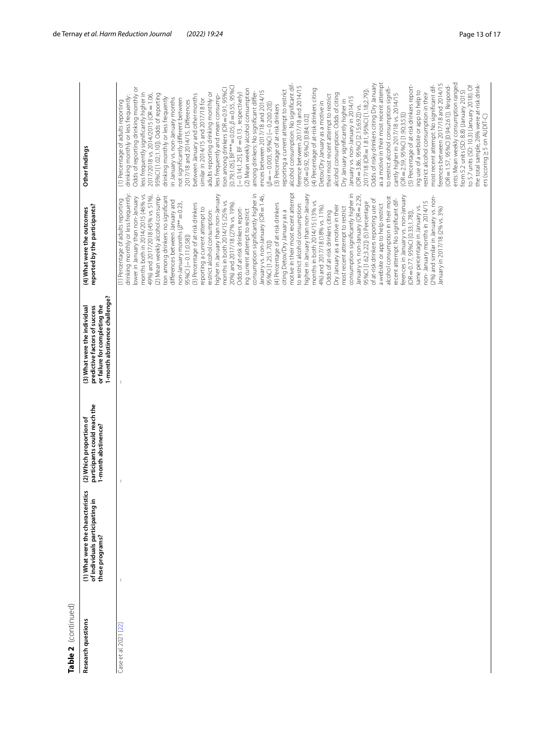| r |
|---|
|   |
|   |
|   |
|   |
|   |
|   |
|   |
|   |
|   |

| Table 2 (continued)   |                                                                                            |                                                                                |                                                                                                                                 |                                                                                                                                                                                                                                                                                                                                                                                                                                                                                                                                                                                                                                                                                                                                                                                                                                                                                                                                                                                                                                                                                                                                                                                                                                                                                                                                                                                                                                                                                                                                                                                                                                                   |                                                                                                                                                                                                                                                                                                                                                                                                                                                                                                                                                                                                                                                                                                                                                                                                                                                                                                                                                                                                                                                                                                                                                                                                                                                                                                                                                                                                                                                                                                                                                                                                                                                                                                                                                                                                                                                                                                                                                                                                                                                                                                                        |
|-----------------------|--------------------------------------------------------------------------------------------|--------------------------------------------------------------------------------|---------------------------------------------------------------------------------------------------------------------------------|---------------------------------------------------------------------------------------------------------------------------------------------------------------------------------------------------------------------------------------------------------------------------------------------------------------------------------------------------------------------------------------------------------------------------------------------------------------------------------------------------------------------------------------------------------------------------------------------------------------------------------------------------------------------------------------------------------------------------------------------------------------------------------------------------------------------------------------------------------------------------------------------------------------------------------------------------------------------------------------------------------------------------------------------------------------------------------------------------------------------------------------------------------------------------------------------------------------------------------------------------------------------------------------------------------------------------------------------------------------------------------------------------------------------------------------------------------------------------------------------------------------------------------------------------------------------------------------------------------------------------------------------------|------------------------------------------------------------------------------------------------------------------------------------------------------------------------------------------------------------------------------------------------------------------------------------------------------------------------------------------------------------------------------------------------------------------------------------------------------------------------------------------------------------------------------------------------------------------------------------------------------------------------------------------------------------------------------------------------------------------------------------------------------------------------------------------------------------------------------------------------------------------------------------------------------------------------------------------------------------------------------------------------------------------------------------------------------------------------------------------------------------------------------------------------------------------------------------------------------------------------------------------------------------------------------------------------------------------------------------------------------------------------------------------------------------------------------------------------------------------------------------------------------------------------------------------------------------------------------------------------------------------------------------------------------------------------------------------------------------------------------------------------------------------------------------------------------------------------------------------------------------------------------------------------------------------------------------------------------------------------------------------------------------------------------------------------------------------------------------------------------------------------|
| Research questions    | უ<br>(1) What were the characteristi<br>of individuals participating in<br>these programs? | participants could reach the<br>(2) Which proportion of<br>1-month abstinence? | 1-month abstinence challenge?<br>or failure for completing the<br>predictive factors of success<br>(3) What were the individual | (4) What were the outcomes<br>reported by the participants?                                                                                                                                                                                                                                                                                                                                                                                                                                                                                                                                                                                                                                                                                                                                                                                                                                                                                                                                                                                                                                                                                                                                                                                                                                                                                                                                                                                                                                                                                                                                                                                       | Other findings                                                                                                                                                                                                                                                                                                                                                                                                                                                                                                                                                                                                                                                                                                                                                                                                                                                                                                                                                                                                                                                                                                                                                                                                                                                                                                                                                                                                                                                                                                                                                                                                                                                                                                                                                                                                                                                                                                                                                                                                                                                                                                         |
| Case et al. 2021 [22] | $\mathsf I$                                                                                | $\overline{\phantom{a}}$                                                       |                                                                                                                                 | motive in their most recent attempt<br>consumption significantly higher in<br>drinking monthly or less frequently:<br>higher in January than non-January<br>consumption significantly higher in<br>higher in January than non-January<br>months both in 2014/2015 (46% vs.<br>49%) and 2017/2018 (45% vs. 51%),<br>January vs. non-January (OR = 1.46,<br>ferences in January vs. non-January<br>(2) Mean weekly alcohol consump-<br>January vs. non-January (OR = 2.29,<br>tion among drinkers: no significant<br>(2%) and similar in January vs. non-<br>lower in January than non-January<br>alcohol consumption in their most<br>(1) Percentage of adults reporting<br>recent attempt: No significant dif-<br>of at-risk drinkers reporting use of<br>differences between January and<br>months in both 2014/15 (25% vs.<br>months in both 2014/15 (13% vs.<br>non-January months in 2014/15<br>95%Cl [1.62;3.22]) (5) Percentage<br>20%) and 2017/18 (27% vs. 19%).<br>to restrict alcohol consumption:<br>non-January months $(\beta^{**}=0.23,$<br>(3) Percentage of at-risk drinkers<br>(4) Percentage of at-risk drinkers<br>a website or app to help restrict<br>Dry January as a motive in their<br>4%) and 2017/18 (18% vs. 11%).<br>same percentage in January vs.<br>most recent attempt to restrict<br>reporting a current attempt to<br>Odds of at-risk drinkers report-<br>January in 2017/18 (2% vs. 3%)<br>ing current attempt to restrict<br>Odds of at-risk drinkers citing<br>estrict alcohol consumption:<br>citing Detox/Dry January as a<br>(OR = 0.77, 95%Cl [0.33;1.78]),<br>95%CI [-0.11;0.58])<br>95%Cl [1.25;1.70]) | ents: Mean weekly consumption ranged<br>as a motive in their most recent attempt<br>alcohol consumption: No significant dif-<br>Odds of risky drinkers citing Dry January<br>ferences between 2017/18 and 2014/15<br>to 5.7 units (SD: 10.3) (January 2018). Of<br>(5) Percentage of at-risk drinkers report-<br>(OR = 1.57, 95%Cl [0.94;2.61]). Respond-<br>the total sample, 26% were at-risk drink-<br>most recent attempt: No significant dif-<br>ference between 2017/18 and 2014/15<br>$[0.79;1.05]$ , BF*** = 0.05; $\beta$ = 0.55, 95%Cl<br>to restrict alcohol consumption signifi-<br>Odds of reporting drinking monthly or<br>tion among drinkers (OR = 0.91, 95%Cl<br>(2) Mean weekly alcohol consumption<br>(4) Percentage of at-risk drinkers citing<br>2017/18 (OR = 1.81, 95% CI [1.18;2.79]).<br>reporting a current attempt to restrict<br>ing use of a website or app to help to<br>ences between 2017/18 and 2014/15<br>from 5.2 units (SD: 8.8) (January 2015)<br>among drinkers: No significant differ-<br>less frequently significantly higher in<br>$[-0.14; 1.25]$ , BF $= 0.13$ , respectively)<br>adults reporting drinking monthly or<br>restrict alcohol consumption in their<br>alcohol consumption: Odds of citing<br>cantly higher in 2017/18 vs. 2014/15<br>95%CI [1.02;1.10]). Odds of reporting<br>2017/2018 vs. 2014/2015 (OR = 1.06,<br>between January and other months<br>their most recent attempt to restrict<br>drinking monthly or less frequently:<br>less frequently and mean consump-<br>drinking monthly or less frequently<br>January vs. non-January in 2014/15<br>in January vs. non-January months<br>not significantly different between<br>similar in 2014/15 and 2017/18 for<br>Dry January significantly higher in<br>2017/18 and 2014/15. Differences<br>(1) Percentage of adults reporting<br>Detox/Dry January as a motive in<br>$\beta = -0.003, 95\%$ Cl $[-0.20;0.20]$<br>(3) Percentage of at-risk drinkers<br>$(OR = 3.86, 95\% \text{C} [2.15;6.92])$ vs.<br>$(OR = 2.59, 95\% \text{Cl} [1.90; 3.53])$<br>$(OR = 0.92, 95\% \text{C} \, [0.84; 1.02]$ |
|                       |                                                                                            |                                                                                |                                                                                                                                 |                                                                                                                                                                                                                                                                                                                                                                                                                                                                                                                                                                                                                                                                                                                                                                                                                                                                                                                                                                                                                                                                                                                                                                                                                                                                                                                                                                                                                                                                                                                                                                                                                                                   | ers (scoring > 5 on AUDIT-C)                                                                                                                                                                                                                                                                                                                                                                                                                                                                                                                                                                                                                                                                                                                                                                                                                                                                                                                                                                                                                                                                                                                                                                                                                                                                                                                                                                                                                                                                                                                                                                                                                                                                                                                                                                                                                                                                                                                                                                                                                                                                                           |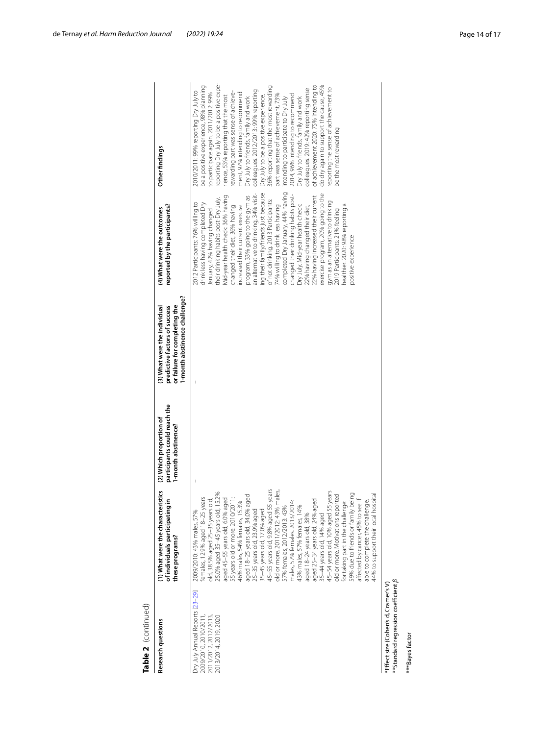| Table 2 (continued)                                                                                        |                                                                                                                                                                                                                                                                                                                                                                                                                                                                                                                                                                                                                                                                                                                                                                                                                                                                                                |                                                                                |                                                                                                                                 |                                                                                                                                                                                                                                                                                                                                                                                                                                                                                                                                                                                                                                                                                                                                                                                                                          |                                                                                                                                                                                                                                                                                                                                                                                                                                                                                                                                                                                                                                                                                                                                                                                                                |
|------------------------------------------------------------------------------------------------------------|------------------------------------------------------------------------------------------------------------------------------------------------------------------------------------------------------------------------------------------------------------------------------------------------------------------------------------------------------------------------------------------------------------------------------------------------------------------------------------------------------------------------------------------------------------------------------------------------------------------------------------------------------------------------------------------------------------------------------------------------------------------------------------------------------------------------------------------------------------------------------------------------|--------------------------------------------------------------------------------|---------------------------------------------------------------------------------------------------------------------------------|--------------------------------------------------------------------------------------------------------------------------------------------------------------------------------------------------------------------------------------------------------------------------------------------------------------------------------------------------------------------------------------------------------------------------------------------------------------------------------------------------------------------------------------------------------------------------------------------------------------------------------------------------------------------------------------------------------------------------------------------------------------------------------------------------------------------------|----------------------------------------------------------------------------------------------------------------------------------------------------------------------------------------------------------------------------------------------------------------------------------------------------------------------------------------------------------------------------------------------------------------------------------------------------------------------------------------------------------------------------------------------------------------------------------------------------------------------------------------------------------------------------------------------------------------------------------------------------------------------------------------------------------------|
| <b>Research questions</b>                                                                                  | (1) What were the characteristics<br>of individuals participating i<br>these programs?                                                                                                                                                                                                                                                                                                                                                                                                                                                                                                                                                                                                                                                                                                                                                                                                         | participants could reach the<br>(2) Which proportion of<br>1-month abstinence? | 1-month abstinence challenge?<br>or failure for completing the<br>predictive factors of success<br>(3) What were the individual | reported by the participants?<br>(4) What were the outcomes                                                                                                                                                                                                                                                                                                                                                                                                                                                                                                                                                                                                                                                                                                                                                              | Other findings                                                                                                                                                                                                                                                                                                                                                                                                                                                                                                                                                                                                                                                                                                                                                                                                 |
| Dry July Annual Reports [23-29]<br>2009/2010, 2010/2011,<br>2011/2012, 2012/2013,<br>2013/2014, 2019, 2020 | 45-55 years old, 9.8% aged 55 years<br>old or more. 2011/2012: 43% males,<br>45-54 years old, 10% aged 55 years<br>females, 12.9% aged 18–25 years<br>old. 38.5% aged 25–35 years old,<br>25.0% aged 35–45 years old, 15.2%<br>35 years old or more. 2010/2011:<br>55 years old or more. 2010/2011:<br>59% due to friends or family being<br>affected by cancer, 45% to see if<br>44% to support their local hospital<br>old or more. Motivations reported<br>aged 18-25 years old, 34.0% aged<br>able to complete the challenge,<br>aged 25-34 years old, 24% aged<br>46% males, 54% females, 15.3%<br>males, 57% females. 2013/2014.<br>for taking part in the challenge:<br>57% females, 2012/2013: 43%<br>43% males, 57% females, 14%<br>25-35 years old, 23.9% aged<br>35-45 years old, 17.0% aged<br>2009/2010: 43% males, 57%<br>35-44 years old, 14% aged<br>aged 18-24 years old, 38% |                                                                                |                                                                                                                                 | completed Dry January, 44% having<br>ing their family/friends just because<br>exercise program, 20% going to the<br>an alternative to drinking, 34% visit-<br>changed their drinking habits post-<br>program, 33% going to the gym as<br>Mid-year health check: 36% having<br>22% having increased their current<br>their drinking habits post-Dry July.<br>of not drinking. 2013 Participants:<br>gym as an alternative to drinking<br>2012 Participants: 76% willing to<br>drink less having completed Dry<br>healthier. 2020: 98% reporting a<br>74% willing to drink less having<br>Dry July. Mid-year health check:<br>increased their current exercise<br>22% having changed their diet,<br>changed their diet, 36% having<br>lanuary, 42% having changed<br>2019 Participants: 21% feeling<br>positive experience | reporting Dry July to be a positive expe-<br>of achievement 2020: 75% intending to<br>do dry again to support the cause, 45%<br>be a positive experience, 98% planning<br>36% reporting that the most rewarding<br>reporting the sense of achievement to<br>colleagues. 2019: 42% reporting sense<br>colleagues. 2012/2013: 99% reporting<br>2010/2011: 99% reporting Dry July to<br>to participate again. 2011/2012: 99%<br>ewarding part was sense of achieve-<br>ment, 97% intending to recommend<br>2014, 96% intending to recommend<br>Dry July to be a positive experience,<br>part was sense of achievement, 73%<br>rience, 53% reporting that the most<br>Dry July to friends, family and work<br>Dry July to friends, family and work<br>ntending to participate to Dry July<br>be the most rewarding |
| **Standard regression coefficient $\beta$<br>*Effect size (Cohen's d, Cramer's V<br>***Bayes factor        |                                                                                                                                                                                                                                                                                                                                                                                                                                                                                                                                                                                                                                                                                                                                                                                                                                                                                                |                                                                                |                                                                                                                                 |                                                                                                                                                                                                                                                                                                                                                                                                                                                                                                                                                                                                                                                                                                                                                                                                                          |                                                                                                                                                                                                                                                                                                                                                                                                                                                                                                                                                                                                                                                                                                                                                                                                                |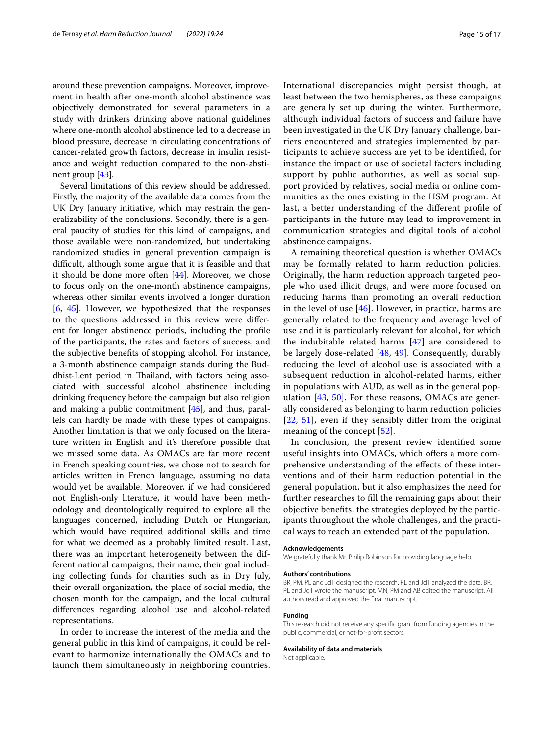around these prevention campaigns. Moreover, improvement in health after one-month alcohol abstinence was objectively demonstrated for several parameters in a study with drinkers drinking above national guidelines where one-month alcohol abstinence led to a decrease in blood pressure, decrease in circulating concentrations of cancer-related growth factors, decrease in insulin resistance and weight reduction compared to the non-abstinent group [\[43](#page-15-42)].

Several limitations of this review should be addressed. Firstly, the majority of the available data comes from the UK Dry January initiative, which may restrain the generalizability of the conclusions. Secondly, there is a general paucity of studies for this kind of campaigns, and those available were non-randomized, but undertaking randomized studies in general prevention campaign is difficult, although some argue that it is feasible and that it should be done more often  $[44]$  $[44]$ . Moreover, we chose to focus only on the one-month abstinence campaigns, whereas other similar events involved a longer duration [[6,](#page-15-5) [45\]](#page-15-44). However, we hypothesized that the responses to the questions addressed in this review were diferent for longer abstinence periods, including the profle of the participants, the rates and factors of success, and the subjective benefts of stopping alcohol. For instance, a 3-month abstinence campaign stands during the Buddhist-Lent period in Thailand, with factors being associated with successful alcohol abstinence including drinking frequency before the campaign but also religion and making a public commitment [[45](#page-15-44)], and thus, parallels can hardly be made with these types of campaigns. Another limitation is that we only focused on the literature written in English and it's therefore possible that we missed some data. As OMACs are far more recent in French speaking countries, we chose not to search for articles written in French language, assuming no data would yet be available. Moreover, if we had considered not English-only literature, it would have been methodology and deontologically required to explore all the languages concerned, including Dutch or Hungarian, which would have required additional skills and time for what we deemed as a probably limited result. Last, there was an important heterogeneity between the different national campaigns, their name, their goal including collecting funds for charities such as in Dry July, their overall organization, the place of social media, the chosen month for the campaign, and the local cultural diferences regarding alcohol use and alcohol-related representations.

In order to increase the interest of the media and the general public in this kind of campaigns, it could be relevant to harmonize internationally the OMACs and to launch them simultaneously in neighboring countries. International discrepancies might persist though, at least between the two hemispheres, as these campaigns are generally set up during the winter. Furthermore, although individual factors of success and failure have been investigated in the UK Dry January challenge, barriers encountered and strategies implemented by participants to achieve success are yet to be identifed, for instance the impact or use of societal factors including support by public authorities, as well as social support provided by relatives, social media or online communities as the ones existing in the HSM program. At last, a better understanding of the diferent profle of participants in the future may lead to improvement in communication strategies and digital tools of alcohol abstinence campaigns.

A remaining theoretical question is whether OMACs may be formally related to harm reduction policies. Originally, the harm reduction approach targeted people who used illicit drugs, and were more focused on reducing harms than promoting an overall reduction in the level of use [[46\]](#page-15-45). However, in practice, harms are generally related to the frequency and average level of use and it is particularly relevant for alcohol, for which the indubitable related harms [[47\]](#page-15-46) are considered to be largely dose-related [\[48](#page-15-47), [49](#page-16-0)]. Consequently, durably reducing the level of alcohol use is associated with a subsequent reduction in alcohol-related harms, either in populations with AUD, as well as in the general population  $[43, 50]$  $[43, 50]$  $[43, 50]$  $[43, 50]$  $[43, 50]$ . For these reasons, OMACs are generally considered as belonging to harm reduction policies [[22](#page-15-17), [51\]](#page-16-2), even if they sensibly difer from the original meaning of the concept [\[52\]](#page-16-3).

In conclusion, the present review identifed some useful insights into OMACs, which ofers a more comprehensive understanding of the efects of these interventions and of their harm reduction potential in the general population, but it also emphasizes the need for further researches to fll the remaining gaps about their objective benefts, the strategies deployed by the participants throughout the whole challenges, and the practical ways to reach an extended part of the population.

#### **Acknowledgements**

We gratefully thank Mr. Philip Robinson for providing language help.

#### **Authors' contributions**

BR, PM, PL and JdT designed the research. PL and JdT analyzed the data. BR, PL and JdT wrote the manuscript. MN, PM and AB edited the manuscript. All authors read and approved the fnal manuscript.

#### **Funding**

This research did not receive any specifc grant from funding agencies in the public, commercial, or not-for-proft sectors.

#### **Availability of data and materials**

Not applicable.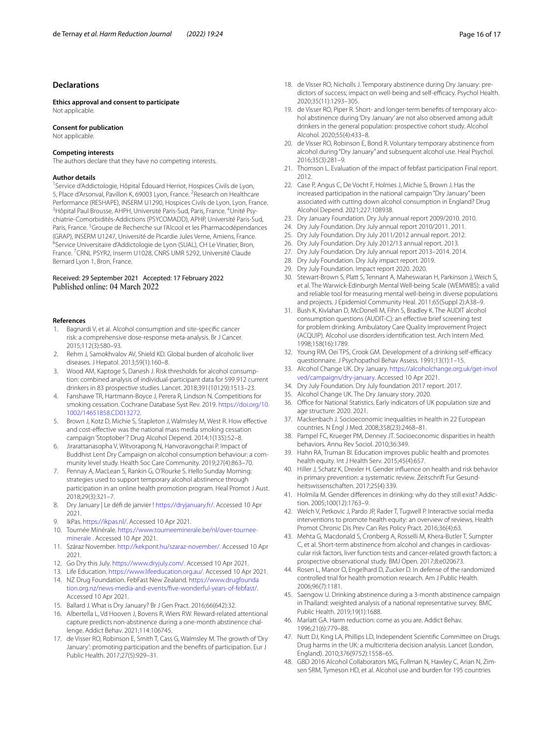## **Declarations**

**Ethics approval and consent to participate** Not applicable.

#### **Consent for publication**

Not applicable.

#### **Competing interests**

The authors declare that they have no competing interests.

#### **Author details**

<sup>1</sup> Service d'Addictologie, Hôpital Édouard Herriot, Hospices Civils de Lyon, 5, Place d'Arsonval, Pavillon K, 69003 Lyon, France. <sup>2</sup> Research on Healthcare Performance (RESHAPE), INSERM U1290, Hospices Civils de Lyon, Lyon, France. <sup>3</sup>Hôpital Paul Brousse, AHPH, Université Paris-Sud, Paris, France. <sup>4</sup>Unité Psychiatrie-Comorbidités-Addictions (PSYCOMADD), APHP, Université Paris-Sud, Paris, France. <sup>5</sup> Groupe de Recherche sur l'Alcool et les Pharmacodépendances (GRAP), INSERM U1247, Université de Picardie Jules Verne, Amiens, France. <sup>6</sup>Service Universitaire d'Addictologie de Lyon (SUAL), CH Le Vinatier, Bron, France. <sup>7</sup> CRNL PSYR2, Inserm U1028, CNRS UMR 5292, Université Claude Bernard Lyon 1, Bron, France.

#### Received: 29 September 2021 Accepted: 17 February 2022 Published online: 04 March 2022

#### **References**

- <span id="page-15-0"></span>1. Bagnardi V, et al. Alcohol consumption and site-specifc cancer risk: a comprehensive dose-response meta-analysis. Br J Cancer. 2015;112(3):580–93.
- <span id="page-15-1"></span>2. Rehm J, Samokhvalov AV, Shield KD. Global burden of alcoholic liver diseases. J Hepatol. 2013;59(1):160–8.
- <span id="page-15-2"></span>3. Wood AM, Kaptoge S, Danesh J. Risk thresholds for alcohol consumption: combined analysis of individual-participant data for 599 912 current drinkers in 83 prospective studies. Lancet. 2018;391(10129):1513–23.
- <span id="page-15-3"></span>4. Fanshawe TR, Hartmann-Boyce J, Perera R, Lindson N. Competitions for smoking cessation. Cochrane Database Syst Rev. 2019. [https://doi.org/10.](https://doi.org/10.1002/14651858.CD013272) [1002/14651858.CD013272.](https://doi.org/10.1002/14651858.CD013272)
- <span id="page-15-4"></span>5. Brown J, Kotz D, Michie S, Stapleton J, Walmsley M, West R. How efective and cost-efective was the national mass media smoking cessation campaign 'Stoptober'? Drug Alcohol Depend. 2014;1(135):52–8.
- <span id="page-15-5"></span>6. Jirarattanasopha V, Witvorapong N, Hanvoravongchai P. Impact of Buddhist Lent Dry Campaign on alcohol consumption behaviour: a community level study. Health Soc Care Community. 2019;27(4):863–70.
- <span id="page-15-6"></span>7. Pennay A, MacLean S, Rankin G, O'Rourke S. Hello Sunday Morning: strategies used to support temporary alcohol abstinence through participation in an online health promotion program. Heal Promot J Aust. 2018;29(3):321–7.
- <span id="page-15-7"></span>8. Dry January | Le défi de janvier !<https://dryjanuary.fr/>. Accessed 10 Apr 2021.
- <span id="page-15-8"></span>9. IkPas.<https://ikpas.nl/>. Accessed 10 Apr 2021.
- <span id="page-15-9"></span>10. Tournée Minérale. [https://www.tourneeminerale.be/nl/over-tournee](https://www.tourneeminerale.be/nl/over-tournee-minerale)[minerale](https://www.tourneeminerale.be/nl/over-tournee-minerale) . Accessed 10 Apr 2021.
- <span id="page-15-10"></span>11. Száraz November.<http://kekpont.hu/szaraz-november/>. Accessed 10 Apr 2021.
- <span id="page-15-11"></span>12. Go Dry this July. [https://www.dryjuly.com/.](https://www.dryjuly.com/) Accessed 10 Apr 2021.
- <span id="page-15-13"></span>13. Life Education. <https://www.lifeeducation.org.au/>. Accessed 10 Apr 2021.
- <span id="page-15-12"></span>14. NZ Drug Foundation. FebFast New Zealand. [https://www.drugfounda](https://www.drugfoundation.org.nz/news-media-and-events/five-wonderful-years-of-febfast/) [tion.org.nz/news-media-and-events/fve-wonderful-years-of-febfast/](https://www.drugfoundation.org.nz/news-media-and-events/five-wonderful-years-of-febfast/). Accessed 10 Apr 2021.
- <span id="page-15-14"></span>15. Ballard J. What is Dry January? Br J Gen Pract. 2016;66(642):32.
- <span id="page-15-15"></span>16. Albertella L, Vd Hooven J, Bovens R, Wiers RW. Reward-related attentional capture predicts non-abstinence during a one-month abstinence challenge. Addict Behav. 2021;114:106745.
- <span id="page-15-16"></span>17. de Visser RO, Robinson E, Smith T, Cass G, Walmsley M. The growth of 'Dry January': promoting participation and the benefts of participation. Eur J Public Health. 2017;27(5):929–31.
- <span id="page-15-24"></span>18. de Visser RO, Nicholls J. Temporary abstinence during Dry January: predictors of success; impact on well-being and self-efficacy. Psychol Health. 2020;35(11):1293–305.
- <span id="page-15-25"></span>19. de Visser RO, Piper R. Short- and longer-term benefts of temporary alcohol abstinence during 'Dry January' are not also observed among adult drinkers in the general population: prospective cohort study. Alcohol Alcohol. 2020;55(4):433–8.
- <span id="page-15-20"></span>20. de Visser RO, Robinson E, Bond R. Voluntary temporary abstinence from alcohol during "Dry January" and subsequent alcohol use. Heal Psychol. 2016;35(3):281–9.
- <span id="page-15-21"></span>21. Thomson L. Evaluation of the impact of febfast participation Final report. 2012.
- <span id="page-15-17"></span>22. Case P, Angus C, De Vocht F, Holmes J, Michie S, Brown J. Has the increased participation in the national campaign "Dry January" been associated with cutting down alcohol consumption in England? Drug Alcohol Depend. 2021;227:108938.
- <span id="page-15-18"></span>23. Dry January Foundation. Dry July annual report 2009/2010. 2010.
- <span id="page-15-22"></span>24. Dry July Foundation. Dry July annual report 2010/2011. 2011.
- <span id="page-15-30"></span>25. Dry July Foundation. Dry July 2011/2012 annual report. 2012.
- <span id="page-15-31"></span>26. Dry July Foundation. Dry July 2012/13 annual report. 2013.
- <span id="page-15-23"></span>27. Dry July Foundation. Dry July annual report 2013–2014. 2014.
- <span id="page-15-32"></span>28. Dry July Foundation. Dry July impact report. 2019.
- <span id="page-15-19"></span>29. Dry July Foundation. Impact report 2020. 2020.
- <span id="page-15-26"></span>30. Stewart-Brown S, Platt S, Tennant A, Maheswaran H, Parkinson J, Weich S, et al. The Warwick-Edinburgh Mental Well-being Scale (WEMWBS): a valid and reliable tool for measuring mental well-being in diverse populations and projects. J Epidemiol Community Heal. 2011;65(Suppl 2):A38–9.
- <span id="page-15-27"></span>31. Bush K, Kivlahan D, McDonell M, Fihn S, Bradley K. The AUDIT alcohol consumption questions (AUDIT-C): an efective brief screening test for problem drinking. Ambulatory Care Quality Improvement Project (ACQUIP). Alcohol use disorders identifcation test. Arch Intern Med. 1998;158(16):1789.
- <span id="page-15-28"></span>32. Young RM, Oei TPS, Crook GM. Development of a drinking self-efficacy questionnaire. J Psychopathol Behav Assess. 1991;13(1):1–15.
- <span id="page-15-29"></span>33. Alcohol Change UK. Dry January. [https://alcoholchange.org.uk/get-invol](https://alcoholchange.org.uk/get-involved/campaigns/dry-january) [ved/campaigns/dry-january.](https://alcoholchange.org.uk/get-involved/campaigns/dry-january) Accessed 10 Apr 2021.
- <span id="page-15-33"></span>34. Dry July Foundation. Dry July foundation 2017 report. 2017.
- <span id="page-15-34"></span>35. Alcohol Change UK. The Dry January story. 2020.
- <span id="page-15-35"></span>36. Office for National Statistics. Early indicators of UK population size and age structure: 2020. 2021.
- <span id="page-15-36"></span>37. Mackenbach J. Socioeconomic inequalities in health in 22 European countries. N Engl J Med. 2008;358(23):2468–81.
- <span id="page-15-37"></span>38. Pampel FC, Krueger PM, Denney JT. Socioeconomic disparities in health behaviors. Annu Rev Sociol. 2010;36:349.
- <span id="page-15-38"></span>39. Hahn RA, Truman BI. Education improves public health and promotes health equity. Int J Health Serv. 2015;45(4):657.
- <span id="page-15-39"></span>40. Hiller J, Schatz K, Drexler H. Gender infuence on health and risk behavior in primary prevention: a systematic review. Zeitschrift Fur Gesundheitswissenschaften. 2017;25(4):339.
- <span id="page-15-40"></span>41. Holmila M. Gender diferences in drinking: why do they still exist? Addiction. 2005;100(12):1763–9.
- <span id="page-15-41"></span>42. Welch V, Petkovic J, Pardo JP, Rader T, Tugwell P. Interactive social media interventions to promote health equity: an overview of reviews. Health Promot Chronic Dis Prev Can Res Policy Pract. 2016;36(4):63.
- <span id="page-15-42"></span>43. Mehta G, Macdonald S, Cronberg A, Rosselli M, Khera-Butler T, Sumpter C, et al. Short-term abstinence from alcohol and changes in cardiovascular risk factors, liver function tests and cancer-related growth factors: a prospective observational study. BMJ Open. 2017;8:e020673.
- <span id="page-15-43"></span>44. Rosen L, Manor O, Engelhard D, Zucker D. In defense of the randomized controlled trial for health promotion research. Am J Public Health. 2006;96(7):1181.
- <span id="page-15-44"></span>45. Saengow U. Drinking abstinence during a 3-month abstinence campaign in Thailand: weighted analysis of a national representative survey. BMC Public Health. 2019;19(1):1688.
- <span id="page-15-45"></span>46. Marlatt GA. Harm reduction: come as you are. Addict Behav. 1996;21(6):779–88.
- <span id="page-15-46"></span>47. Nutt DJ, King LA, Phillips LD, Independent Scientifc Committee on Drugs. Drug harms in the UK: a multicriteria decision analysis. Lancet (London, England). 2010;376(9752):1558–65.
- <span id="page-15-47"></span>48. GBD 2016 Alcohol Collaborators MG, Fullman N, Hawley C, Arian N, Zimsen SRM, Tymeson HD, et al. Alcohol use and burden for 195 countries